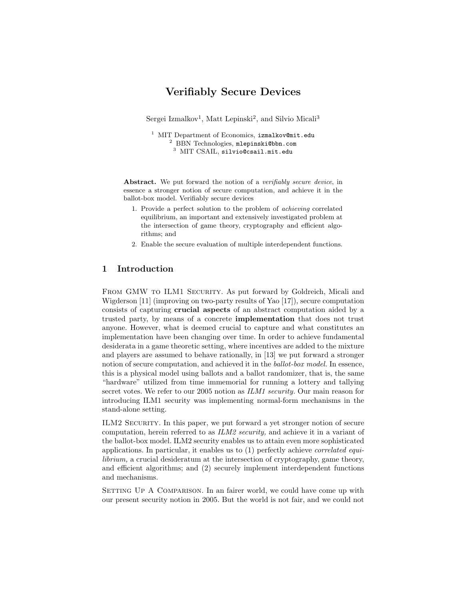# Verifiably Secure Devices

Sergei Izmalkov<sup>1</sup>, Matt Lepinski<sup>2</sup>, and Silvio Micali<sup>3</sup>

<sup>1</sup> MIT Department of Economics, izmalkov@mit.edu <sup>2</sup> BBN Technologies, mlepinski@bbn.com <sup>3</sup> MIT CSAIL, silvio@csail.mit.edu

Abstract. We put forward the notion of a *verifiably secure device*, in essence a stronger notion of secure computation, and achieve it in the ballot-box model. Verifiably secure devices

- 1. Provide a perfect solution to the problem of achieving correlated equilibrium, an important and extensively investigated problem at the intersection of game theory, cryptography and efficient algorithms; and
- 2. Enable the secure evaluation of multiple interdependent functions.

# 1 Introduction

FROM GMW TO ILM1 SECURITY. As put forward by Goldreich, Micali and Wigderson [11] (improving on two-party results of Yao [17]), secure computation consists of capturing crucial aspects of an abstract computation aided by a trusted party, by means of a concrete implementation that does not trust anyone. However, what is deemed crucial to capture and what constitutes an implementation have been changing over time. In order to achieve fundamental desiderata in a game theoretic setting, where incentives are added to the mixture and players are assumed to behave rationally, in [13] we put forward a stronger notion of secure computation, and achieved it in the *ballot-box model*. In essence, this is a physical model using ballots and a ballot randomizer, that is, the same "hardware" utilized from time immemorial for running a lottery and tallying secret votes. We refer to our 2005 notion as ILM1 security. Our main reason for introducing ILM1 security was implementing normal-form mechanisms in the stand-alone setting.

ILM2 Security. In this paper, we put forward a yet stronger notion of secure computation, herein referred to as ILM2 security, and achieve it in a variant of the ballot-box model. ILM2 security enables us to attain even more sophisticated applications. In particular, it enables us to (1) perfectly achieve correlated equilibrium, a crucial desideratum at the intersection of cryptography, game theory, and efficient algorithms; and (2) securely implement interdependent functions and mechanisms.

SETTING UP A COMPARISON. In an fairer world, we could have come up with our present security notion in 2005. But the world is not fair, and we could not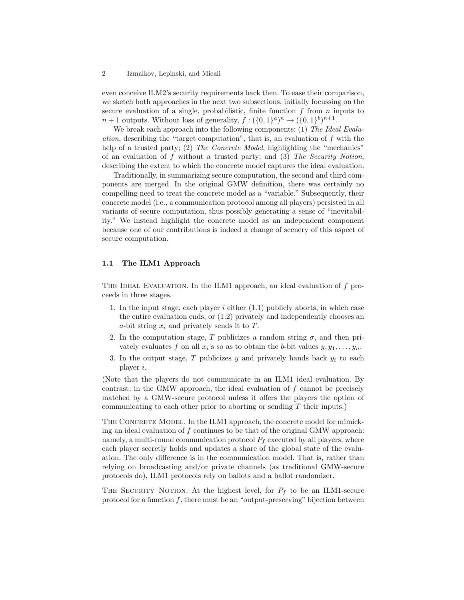even conceive ILM2's security requirements back then. To ease their comparison, we sketch both approaches in the next two subsections, initially focussing on the secure evaluation of a single, probabilistic, finite function  $f$  from  $n$  inputs to  $n+1$  outputs. Without loss of generality,  $f: (\{0,1\}^a)^n \to (\{0,1\}^b)^{n+1}$ .

We break each approach into the following components: (1) The Ideal Evaluation, describing the "target computation", that is, an evaluation of f with the help of a trusted party; (2) The Concrete Model, highlighting the "mechanics" of an evaluation of  $f$  without a trusted party; and  $(3)$  The Security Notion, describing the extent to which the concrete model captures the ideal evaluation.

Traditionally, in summarizing secure computation, the second and third components are merged. In the original GMW definition, there was certainly no compelling need to treat the concrete model as a "variable." Subsequently, their concrete model (i.e., a communication protocol among all players) persisted in all variants of secure computation, thus possibly generating a sense of "inevitability." We instead highlight the concrete model as an independent component because one of our contributions is indeed a change of scenery of this aspect of secure computation.

### 1.1 The ILM1 Approach

THE IDEAL EVALUATION. In the ILM1 approach, an ideal evaluation of  $f$  proceeds in three stages.

- 1. In the input stage, each player  $i$  either  $(1.1)$  publicly aborts, in which case the entire evaluation ends, or (1.2) privately and independently chooses an a-bit string  $x_i$  and privately sends it to T.
- 2. In the computation stage, T publicizes a random string  $\sigma$ , and then privately evaluates f on all  $x_i$ 's so as to obtain the b-bit values  $y, y_1, \ldots, y_n$ .
- 3. In the output stage,  $T$  publicizes  $y$  and privately hands back  $y_i$  to each player i.

(Note that the players do not communicate in an ILM1 ideal evaluation. By contrast, in the GMW approach, the ideal evaluation of  $f$  cannot be precisely matched by a GMW-secure protocol unless it offers the players the option of communicating to each other prior to aborting or sending  $T$  their inputs.)

THE CONCRETE MODEL. In the ILM1 approach, the concrete model for mimicking an ideal evaluation of  $f$  continues to be that of the original GMW approach: namely, a multi-round communication protocol  $P_f$  executed by all players, where each player secretly holds and updates a share of the global state of the evaluation. The only difference is in the communication model. That is, rather than relying on broadcasting and/or private channels (as traditional GMW-secure protocols do), ILM1 protocols rely on ballots and a ballot randomizer.

THE SECURITY NOTION. At the highest level, for  $P_f$  to be an ILM1-secure protocol for a function  $f$ , there must be an "output-preserving" bijection between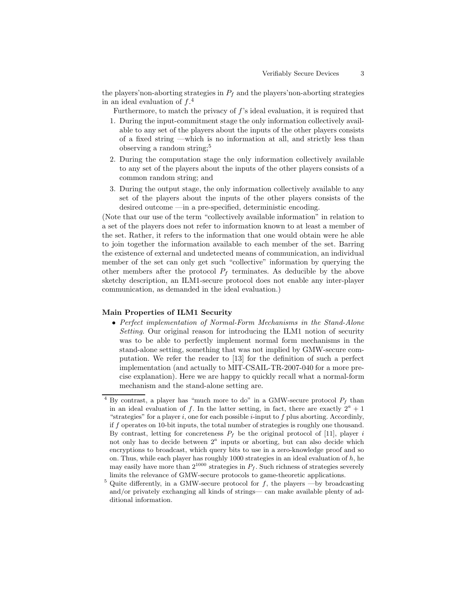the players' non-aborting strategies in  $P_f$  and the players' non-aborting strategies in an ideal evaluation of  $f<sup>4</sup>$ 

Furthermore, to match the privacy of  $f$ 's ideal evaluation, it is required that

- 1. During the input-commitment stage the only information collectively available to any set of the players about the inputs of the other players consists of a fixed string —which is no information at all, and strictly less than observing a random string;<sup>5</sup>
- 2. During the computation stage the only information collectively available to any set of the players about the inputs of the other players consists of a common random string; and
- 3. During the output stage, the only information collectively available to any set of the players about the inputs of the other players consists of the desired outcome —in a pre-specified, deterministic encoding.

(Note that our use of the term "collectively available information" in relation to a set of the players does not refer to information known to at least a member of the set. Rather, it refers to the information that one would obtain were he able to join together the information available to each member of the set. Barring the existence of external and undetected means of communication, an individual member of the set can only get such "collective" information by querying the other members after the protocol  $P_f$  terminates. As deducible by the above sketchy description, an ILM1-secure protocol does not enable any inter-player communication, as demanded in the ideal evaluation.)

### Main Properties of ILM1 Security

• Perfect implementation of Normal-Form Mechanisms in the Stand-Alone Setting. Our original reason for introducing the ILM1 notion of security was to be able to perfectly implement normal form mechanisms in the stand-alone setting, something that was not implied by GMW-secure computation. We refer the reader to [13] for the definition of such a perfect implementation (and actually to MIT-CSAIL-TR-2007-040 for a more precise explanation). Here we are happy to quickly recall what a normal-form mechanism and the stand-alone setting are.

<sup>&</sup>lt;sup>4</sup> By contrast, a player has "much more to do" in a GMW-secure protocol  $P_f$  than in an ideal evaluation of f. In the latter setting, in fact, there are exactly  $2^a + 1$ "strategies" for a player  $i$ , one for each possible  $i$ -input to  $f$  plus aborting. Accordinly, if f operates on 10-bit inputs, the total number of strategies is roughly one thousand. By contrast, letting for concreteness  $P_f$  be the original protocol of [11], player i not only has to decide between  $2<sup>a</sup>$  inputs or aborting, but can also decide which encryptions to broadcast, which query bits to use in a zero-knowledge proof and so on. Thus, while each player has roughly  $1000$  strategies in an ideal evaluation of  $h$ , he may easily have more than  $2^{1000}$  strategies in  $P_f$ . Such richness of strategies severely limits the relevance of GMW-secure protocols to game-theoretic applications.

 $5$  Quite differently, in a GMW-secure protocol for f, the players —by broadcasting and/or privately exchanging all kinds of strings— can make available plenty of additional information.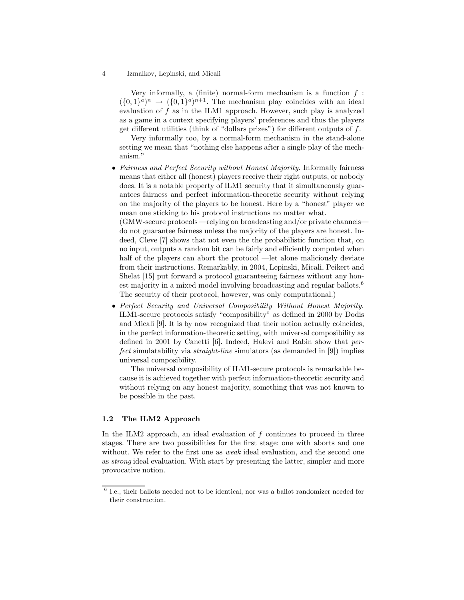Very informally, a (finite) normal-form mechanism is a function  $f$ :  $({0,1}<sup>a</sup>)<sup>n</sup> \rightarrow ({0,1}<sup>a</sup>)<sup>n+1</sup>$ . The mechanism play coincides with an ideal evaluation of  $f$  as in the ILM1 approach. However, such play is analyzed as a game in a context specifying players' preferences and thus the players get different utilities (think of "dollars prizes") for different outputs of  $f$ .

Very informally too, by a normal-form mechanism in the stand-alone setting we mean that "nothing else happens after a single play of the mechanism."

• Fairness and Perfect Security without Honest Majority. Informally fairness means that either all (honest) players receive their right outputs, or nobody does. It is a notable property of ILM1 security that it simultaneously guarantees fairness and perfect information-theoretic security without relying on the majority of the players to be honest. Here by a "honest" player we mean one sticking to his protocol instructions no matter what.

(GMW-secure protocols —relying on broadcasting and/or private channels do not guarantee fairness unless the majority of the players are honest. Indeed, Cleve [7] shows that not even the the probabilistic function that, on no input, outputs a random bit can be fairly and efficiently computed when half of the players can abort the protocol —let alone maliciously deviate from their instructions. Remarkably, in 2004, Lepinski, Micali, Peikert and Shelat [15] put forward a protocol guaranteeing fairness without any honest majority in a mixed model involving broadcasting and regular ballots.<sup>6</sup> The security of their protocol, however, was only computational.)

• Perfect Security and Universal Composibility Without Honest Majority. ILM1-secure protocols satisfy "composibility" as defined in 2000 by Dodis and Micali [9]. It is by now recognized that their notion actually coincides, in the perfect information-theoretic setting, with universal composibility as defined in 2001 by Canetti [6]. Indeed, Halevi and Rabin show that perfect simulatability via straight-line simulators (as demanded in [9]) implies universal composibility.

The universal composibility of ILM1-secure protocols is remarkable because it is achieved together with perfect information-theoretic security and without relying on any honest majority, something that was not known to be possible in the past.

### 1.2 The ILM2 Approach

In the ILM2 approach, an ideal evaluation of  $f$  continues to proceed in three stages. There are two possibilities for the first stage: one with aborts and one without. We refer to the first one as *weak* ideal evaluation, and the second one as strong ideal evaluation. With start by presenting the latter, simpler and more provocative notion.

 $6$  I.e., their ballots needed not to be identical, nor was a ballot randomizer needed for their construction.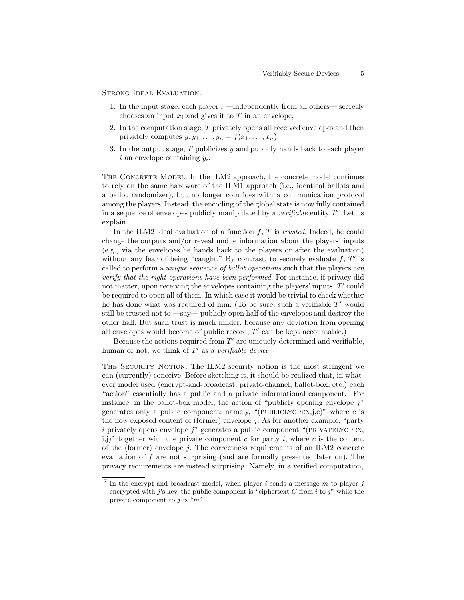STRONG IDEAL EVALUATION.

- 1. In the input stage, each player  $i$  —independently from all others— secretly chooses an input  $x_i$  and gives it to  $T$  in an envelope,
- 2. In the computation stage, T privately opens all received envelopes and then privately computes  $y, y_1, \ldots, y_n = f(x_1, \ldots, x_n)$ .
- 3. In the output stage,  $T$  publicizes  $y$  and publicly hands back to each player  $i$  an envelope containing  $y_i$ .

The Concrete Model. In the ILM2 approach, the concrete model continues to rely on the same hardware of the ILM1 approach (i.e., identical ballots and a ballot randomizer), but no longer coincides with a communication protocol among the players. Instead, the encoding of the global state is now fully contained in a sequence of envelopes publicly manipulated by a *verifiable* entity  $T'$ . Let us explain.

In the ILM2 ideal evaluation of a function  $f, T$  is *trusted*. Indeed, he could change the outputs and/or reveal undue information about the players' inputs (e.g., via the envelopes he hands back to the players or after the evaluation) without any fear of being "caught." By contrast, to securely evaluate  $f, T'$  is called to perform a unique sequence of ballot operations such that the players can verify that the right operations have been performed. For instance, if privacy did not matter, upon receiving the envelopes containing the players' inputs, T' could be required to open all of them. In which case it would be trivial to check whether he has done what was required of him. (To be sure, such a verifiable  $T'$  would still be trusted not to —say— publicly open half of the envelopes and destroy the other half. But such trust is much milder: because any deviation from opening all envelopes would become of public record,  $T'$  can be kept accountable.)

Because the actions required from  $T'$  are uniquely determined and verifiable, human or not, we think of  $T'$  as a verifiable device.

THE SECURITY NOTION. The ILM2 security notion is the most stringent we can (currently) conceive. Before sketching it, it should be realized that, in whatever model used (encrypt-and-broadcast, private-channel, ballot-box, etc.) each "action" essentially has a public and a private informational component.<sup>7</sup> For instance, in the ballot-box model, the action of "publicly opening envelope  $j$ " generates only a public component: namely, "(PUBLICLYOPEN,j,c)" where  $c$  is the now exposed content of (former) envelope  $j$ . As for another example, "party  $i$  privately opens envelope  $j'$  generates a public component "(PRIVATELYOPEN, i,j)" together with the private component c for party i, where c is the content of the (former) envelope  $i$ . The correctness requirements of an ILM2 concrete evaluation of  $f$  are not surprising (and are formally presented later on). The privacy requirements are instead surprising. Namely, in a verified computation,

<sup>&</sup>lt;sup>7</sup> In the encrypt-and-broadcast model, when player  $i$  sends a message  $m$  to player  $j$ encrypted with j's key, the public component is "ciphertext  $C$  from i to j" while the private component to j is " $m$ ".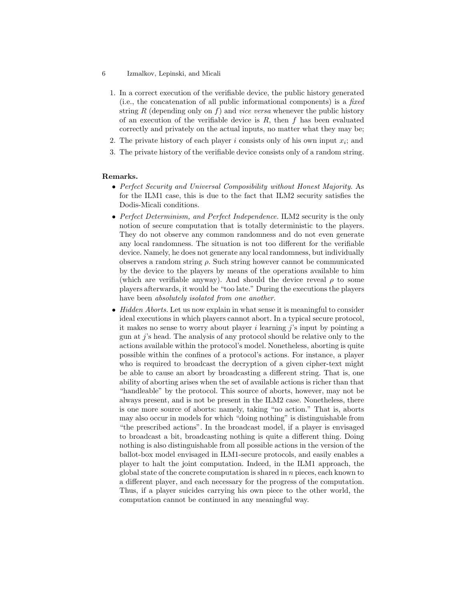- 6 Izmalkov, Lepinski, and Micali
	- 1. In a correct execution of the verifiable device, the public history generated (i.e., the concatenation of all public informational components) is a fixed string R (depending only on f) and *vice versa* whenever the public history of an execution of the verifiable device is  $R$ , then f has been evaluated correctly and privately on the actual inputs, no matter what they may be;
	- 2. The private history of each player i consists only of his own input  $x_i$ ; and
	- 3. The private history of the verifiable device consists only of a random string.

### Remarks.

- Perfect Security and Universal Composibility without Honest Majority. As for the ILM1 case, this is due to the fact that ILM2 security satisfies the Dodis-Micali conditions.
- Perfect Determinism, and Perfect Independence. ILM2 security is the only notion of secure computation that is totally deterministic to the players. They do not observe any common randomness and do not even generate any local randomness. The situation is not too different for the verifiable device. Namely, he does not generate any local randomness, but individually observes a random string  $\rho$ . Such string however cannot be communicated by the device to the players by means of the operations available to him (which are verifiable anyway). And should the device reveal  $\rho$  to some players afterwards, it would be "too late." During the executions the players have been absolutely isolated from one another.
- Hidden Aborts. Let us now explain in what sense it is meaningful to consider ideal executions in which players cannot abort. In a typical secure protocol, it makes no sense to worry about player  $i$  learning  $j$ 's input by pointing a gun at  $j$ 's head. The analysis of any protocol should be relative only to the actions available within the protocol's model. Nonetheless, aborting is quite possible within the confines of a protocol's actions. For instance, a player who is required to broadcast the decryption of a given cipher-text might be able to cause an abort by broadcasting a different string. That is, one ability of aborting arises when the set of available actions is richer than that "handleable" by the protocol. This source of aborts, however, may not be always present, and is not be present in the ILM2 case. Nonetheless, there is one more source of aborts: namely, taking "no action." That is, aborts may also occur in models for which "doing nothing" is distinguishable from "the prescribed actions". In the broadcast model, if a player is envisaged to broadcast a bit, broadcasting nothing is quite a different thing. Doing nothing is also distinguishable from all possible actions in the version of the ballot-box model envisaged in ILM1-secure protocols, and easily enables a player to halt the joint computation. Indeed, in the ILM1 approach, the global state of the concrete computation is shared in n pieces, each known to a different player, and each necessary for the progress of the computation. Thus, if a player suicides carrying his own piece to the other world, the computation cannot be continued in any meaningful way.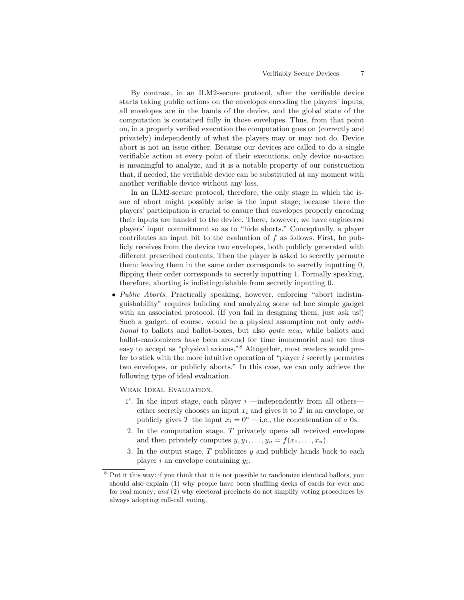By contrast, in an ILM2-secure protocol, after the verifiable device starts taking public actions on the envelopes encoding the players' inputs, all envelopes are in the hands of the device, and the global state of the computation is contained fully in those envelopes. Thus, from that point on, in a properly verified execution the computation goes on (correctly and privately) independently of what the players may or may not do. Device abort is not an issue either. Because our devices are called to do a single verifiable action at every point of their executions, only device no-action is meaningful to analyze, and it is a notable property of our construction that, if needed, the verifiable device can be substituted at any moment with another verifiable device without any loss.

In an ILM2-secure protocol, therefore, the only stage in which the issue of abort might possibly arise is the input stage; because there the players' participation is crucial to ensure that envelopes properly encoding their inputs are handed to the device. There, however, we have engineered players' input commitment so as to "hide aborts." Conceptually, a player contributes an input bit to the evaluation of f as follows. First, he publicly receives from the device two envelopes, both publicly generated with different prescribed contents. Then the player is asked to secretly permute them: leaving them in the same order corresponds to secretly inputting 0, flipping their order corresponds to secretly inputting 1. Formally speaking, therefore, aborting is indistinguishable from secretly inputting 0.

• Public Aborts. Practically speaking, however, enforcing "abort indistinguishability" requires building and analyzing some ad hoc simple gadget with an associated protocol. (If you fail in designing them, just ask us!) Such a gadget, of course, would be a physical assumption not only additional to ballots and ballot-boxes, but also quite new, while ballots and ballot-randomizers have been around for time immemorial and are thus easy to accept as "physical axioms."<sup>8</sup> Altogether, most readers would prefer to stick with the more intuitive operation of "player  $i$  secretly permutes two envelopes, or publicly aborts." In this case, we can only achieve the following type of ideal evaluation.

WEAK IDEAL EVALUATION.

- $1'$ . In the input stage, each player  $i$  —independently from all others either secretly chooses an input  $x_i$  and gives it to  $T$  in an envelope, or publicly gives T the input  $x_i = 0^a$  —i.e., the concatenation of a 0s.
- 2. In the computation stage, T privately opens all received envelopes and then privately computes  $y, y_1, \ldots, y_n = f(x_1, \ldots, x_n)$ .
- 3. In the output stage,  $T$  publicizes  $y$  and publicly hands back to each player  $i$  an envelope containing  $y_i$ .

<sup>8</sup> Put it this way: if you think that it is not possible to randomize identical ballots, you should also explain (1) why people have been shuffling decks of cards for ever and for real money; and (2) why electoral precincts do not simplify voting procedures by always adopting roll-call voting.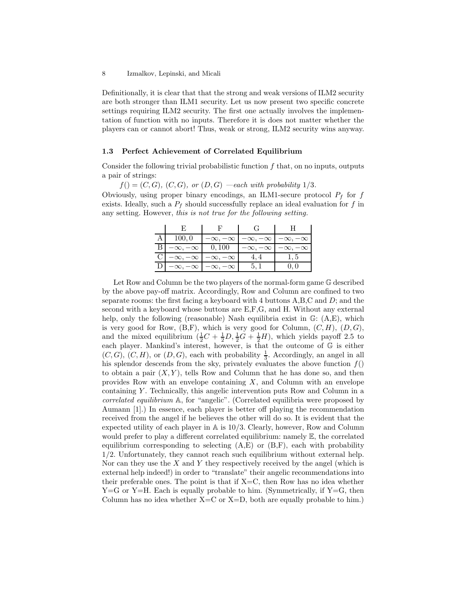Definitionally, it is clear that that the strong and weak versions of ILM2 security are both stronger than ILM1 security. Let us now present two specific concrete settings requiring ILM2 security. The first one actually involves the implementation of function with no inputs. Therefore it is does not matter whether the players can or cannot abort! Thus, weak or strong, ILM2 security wins anyway.

### 1.3 Perfect Achievement of Correlated Equilibrium

Consider the following trivial probabilistic function  $f$  that, on no inputs, outputs a pair of strings:

 $f() = (C, G), (C, G),$  or  $(D, G)$  —each with probability 1/3.

Obviously, using proper binary encodings, an ILM1-secure protocol  $P_f$  for f exists. Ideally, such a  $P_f$  should successfully replace an ideal evaluation for f in any setting. However, this is not true for the following setting.

|   | 100, 0                | $-\infty, -\infty$ | $-\infty, -\infty$ | $-\infty, -\infty$    |
|---|-----------------------|--------------------|--------------------|-----------------------|
| B | $-\infty$ , $-\infty$ | 0, 100             | $-\infty, -\infty$ | $-\infty$ . $-\infty$ |
|   | $-\infty, -\infty$    | $-\infty, -\infty$ |                    | $-5$                  |
|   |                       | $-\infty, -\infty$ |                    |                       |

Let Row and Column be the two players of the normal-form game G described by the above pay-off matrix. Accordingly, Row and Column are confined to two separate rooms: the first facing a keyboard with 4 buttons  $A, B, C$  and  $D$ ; and the second with a keyboard whose buttons are E,F,G, and H. Without any external help, only the following (reasonable) Nash equilibria exist in  $\mathbb{G}$ : (A,E), which is very good for Row,  $(B, F)$ , which is very good for Column,  $(C, H)$ ,  $(D, G)$ , and the mixed equilibrium  $(\frac{1}{2}C + \frac{1}{2}D, \frac{1}{2}G + \frac{1}{2}H)$ , which yields payoff 2.5 to each player. Mankind's interest, however, is that the outcome of G is either  $(C, G)$ ,  $(C, H)$ , or  $(D, G)$ , each with probability  $\frac{1}{3}$ . Accordingly, an angel in all his splendor descends from the sky, privately evaluates the above function  $f()$ to obtain a pair  $(X, Y)$ , tells Row and Column that he has done so, and then provides Row with an envelope containing  $X$ , and Column with an envelope containing  $Y$ . Technically, this angelic intervention puts Row and Column in a correlated equilibrium A, for "angelic". (Correlated equilibria were proposed by Aumann [1].) In essence, each player is better off playing the recommendation received from the angel if he believes the other will do so. It is evident that the expected utility of each player in  $\mathbb A$  is 10/3. Clearly, however, Row and Column would prefer to play a different correlated equilibrium: namely  $E$ , the correlated equilibrium corresponding to selecting  $(A, E)$  or  $(B, F)$ , each with probability 1/2. Unfortunately, they cannot reach such equilibrium without external help. Nor can they use the X and Y they respectively received by the angel (which is external help indeed!) in order to "translate" their angelic recommendations into their preferable ones. The point is that if  $X=C$ , then Row has no idea whether  $Y=G$  or  $Y=H$ . Each is equally probable to him. (Symmetrically, if  $Y=G$ , then Column has no idea whether  $X=C$  or  $X=D$ , both are equally probable to him.)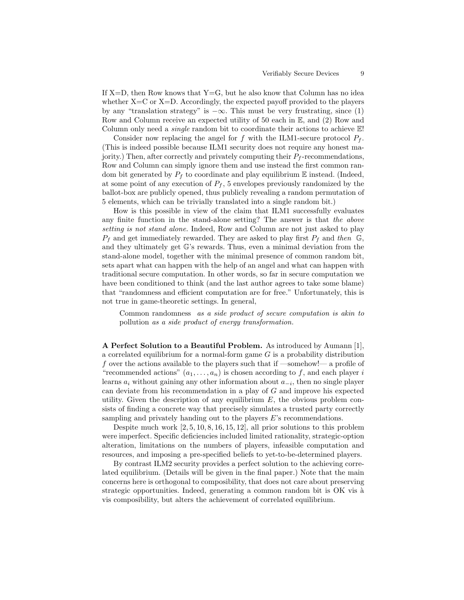If  $X=D$ , then Row knows that  $Y=G$ , but he also know that Column has no idea whether  $X=C$  or  $X=D$ . Accordingly, the expected payoff provided to the players by any "translation strategy" is  $-\infty$ . This must be very frustrating, since (1) Row and Column receive an expected utility of 50 each in E, and (2) Row and Column only need a *single* random bit to coordinate their actions to achieve  $\mathbb{E}!$ 

Consider now replacing the angel for f with the ILM1-secure protocol  $P_f$ . (This is indeed possible because ILM1 security does not require any honest majority.) Then, after correctly and privately computing their  $P_f$ -recommendations, Row and Column can simply ignore them and use instead the first common random bit generated by  $P_f$  to coordinate and play equilibrium  $E$  instead. (Indeed, at some point of any execution of  $P_f$ , 5 envelopes previously randomized by the ballot-box are publicly opened, thus publicly revealing a random permutation of 5 elements, which can be trivially translated into a single random bit.)

How is this possible in view of the claim that ILM1 successfully evaluates any finite function in the stand-alone setting? The answer is that the above setting is not stand alone. Indeed, Row and Column are not just asked to play  $P_f$  and get immediately rewarded. They are asked to play first  $P_f$  and then  $\mathbb{G}$ , and they ultimately get G's rewards. Thus, even a minimal deviation from the stand-alone model, together with the minimal presence of common random bit, sets apart what can happen with the help of an angel and what can happen with traditional secure computation. In other words, so far in secure computation we have been conditioned to think (and the last author agrees to take some blame) that "randomness and efficient computation are for free." Unfortunately, this is not true in game-theoretic settings. In general,

Common randomness as a side product of secure computation is akin to pollution as a side product of energy transformation.

A Perfect Solution to a Beautiful Problem. As introduced by Aumann [1], a correlated equilibrium for a normal-form game  $G$  is a probability distribution f over the actions available to the players such that if  $\sim$ somehow!— a profile of "recommended actions"  $(a_1, \ldots, a_n)$  is chosen according to f, and each player i learns  $a_i$  without gaining any other information about  $a_{-i}$ , then no single player can deviate from his recommendation in a play of  $G$  and improve his expected utility. Given the description of any equilibrium  $E$ , the obvious problem consists of finding a concrete way that precisely simulates a trusted party correctly sampling and privately handing out to the players  $E$ 's recommendations.

Despite much work [2, 5, 10, 8, 16, 15, 12], all prior solutions to this problem were imperfect. Specific deficiencies included limited rationality, strategic-option alteration, limitations on the numbers of players, infeasible computation and resources, and imposing a pre-specified beliefs to yet-to-be-determined players.

By contrast ILM2 security provides a perfect solution to the achieving correlated equilibrium. (Details will be given in the final paper.) Note that the main concerns here is orthogonal to composibility, that does not care about preserving strategic opportunities. Indeed, generating a common random bit is OK vis à vis composibility, but alters the achievement of correlated equilibrium.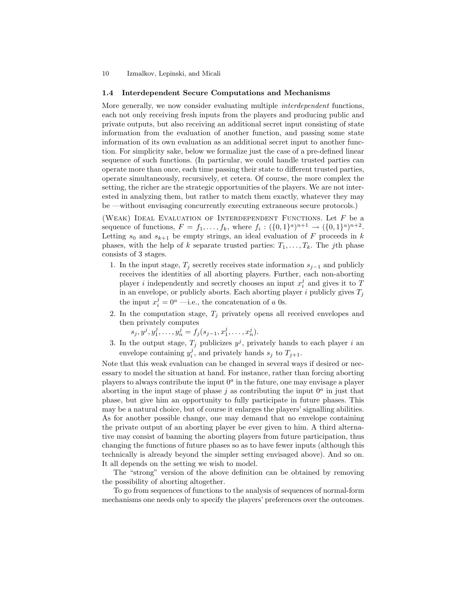### 1.4 Interdependent Secure Computations and Mechanisms

More generally, we now consider evaluating multiple interdependent functions, each not only receiving fresh inputs from the players and producing public and private outputs, but also receiving an additional secret input consisting of state information from the evaluation of another function, and passing some state information of its own evaluation as an additional secret input to another function. For simplicity sake, below we formalize just the case of a pre-defined linear sequence of such functions. (In particular, we could handle trusted parties can operate more than once, each time passing their state to different trusted parties, operate simultaneously, recursively, et cetera. Of course, the more complex the setting, the richer are the strategic opportunities of the players. We are not interested in analyzing them, but rather to match them exactly, whatever they may be —without envisaging concurrently executing extraneous secure protocols.)

(WEAK) IDEAL EVALUATION OF INTERDEPENDENT FUNCTIONS. Let  $F$  be a sequence of functions,  $F = f_1, ..., f_k$ , where  $f_i: (\{0,1\}^a)^{n+1} \to (\{0,1\}^a)^{n+2}$ . Letting  $s_0$  and  $s_{k+1}$  be empty strings, an ideal evaluation of F proceeds in k phases, with the help of k separate trusted parties:  $T_1, \ldots, T_k$ . The jth phase consists of 3 stages.

- 1. In the input stage,  $T_j$  secretly receives state information  $s_{j-1}$  and publicly receives the identities of all aborting players. Further, each non-aborting player *i* independently and secretly chooses an input  $x_i^j$  and gives it to  $\tilde{T}$ in an envelope, or publicly aborts. Each aborting player i publicly gives  $T_j$ the input  $x_i^j = 0^a$  —i.e., the concatenation of a 0s.
- 2. In the computation stage,  $T_j$  privately opens all received envelopes and then privately computes

 $s_j, y^j, y_1^j, \ldots, y_n^j = f_j(s_{j-1}, x_1^j, \ldots, x_n^j).$ 

3. In the output stage,  $T_j$  publicizes  $y^j$ , privately hands to each player i an envelope containing  $y_i^j$ , and privately hands  $s_j$  to  $T_{j+1}$ .

Note that this weak evaluation can be changed in several ways if desired or necessary to model the situation at hand. For instance, rather than forcing aborting players to always contribute the input  $0<sup>a</sup>$  in the future, one may envisage a player aborting in the input stage of phase  $j$  as contributing the input  $0^a$  in just that phase, but give him an opportunity to fully participate in future phases. This may be a natural choice, but of course it enlarges the players' signalling abilities. As for another possible change, one may demand that no envelope containing the private output of an aborting player be ever given to him. A third alternative may consist of banning the aborting players from future participation, thus changing the functions of future phases so as to have fewer inputs (although this technically is already beyond the simpler setting envisaged above). And so on. It all depends on the setting we wish to model.

The "strong" version of the above definition can be obtained by removing the possibility of aborting altogether.

To go from sequences of functions to the analysis of sequences of normal-form mechanisms one needs only to specify the players' preferences over the outcomes.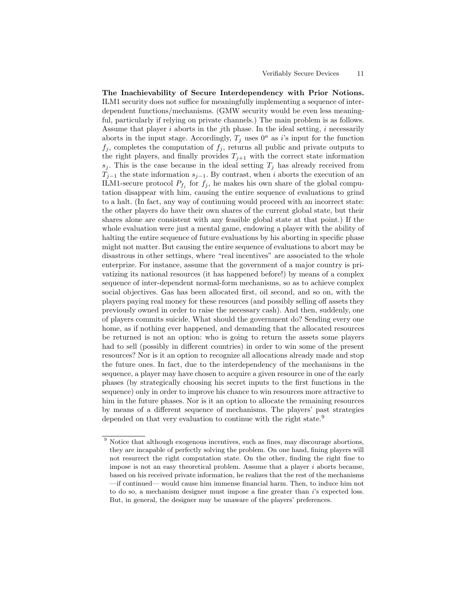The Inachievability of Secure Interdependency with Prior Notions. ILM1 security does not suffice for meaningfully implementing a sequence of interdependent functions/mechanisms. (GMW security would be even less meaningful, particularly if relying on private channels.) The main problem is as follows. Assume that player  $i$  aborts in the jth phase. In the ideal setting,  $i$  necessarily aborts in the input stage. Accordingly,  $T_i$  uses  $0^a$  as i's input for the function  $f_j$ , completes the computation of  $f_j$ , returns all public and private outputs to the right players, and finally provides  $T_{j+1}$  with the correct state information  $s_j$ . This is the case because in the ideal setting  $T_j$  has already received from  $T_{j-1}$  the state information  $s_{j-1}$ . By contrast, when i aborts the execution of an ILM1-secure protocol  $P_{f_j}$  for  $f_j$ , he makes his own share of the global computation disappear with him, causing the entire sequence of evaluations to grind to a halt. (In fact, any way of continuing would proceed with an incorrect state: the other players do have their own shares of the current global state, but their shares alone are consistent with any feasible global state at that point.) If the whole evaluation were just a mental game, endowing a player with the ability of halting the entire sequence of future evaluations by his aborting in specific phase might not matter. But causing the entire sequence of evaluations to abort may be disastrous in other settings, where "real incentives" are associated to the whole enterprize. For instance, assume that the government of a major country is privatizing its national resources (it has happened before!) by means of a complex sequence of inter-dependent normal-form mechanisms, so as to achieve complex social objectives. Gas has been allocated first, oil second, and so on, with the players paying real money for these resources (and possibly selling off assets they previously owned in order to raise the necessary cash). And then, suddenly, one of players commits suicide. What should the government do? Sending every one home, as if nothing ever happened, and demanding that the allocated resources be returned is not an option: who is going to return the assets some players had to sell (possibly in different countries) in order to win some of the present resources? Nor is it an option to recognize all allocations already made and stop the future ones. In fact, due to the interdependency of the mechanisms in the sequence, a player may have chosen to acquire a given resource in one of the early phases (by strategically choosing his secret inputs to the first functions in the sequence) only in order to improve his chance to win resources more attractive to him in the future phases. Nor is it an option to allocate the remaining resources by means of a different sequence of mechanisms. The players' past strategies depended on that very evaluation to continue with the right state.<sup>9</sup>

 $\frac{9}{9}$  Notice that although exogenous incentives, such as fines, may discourage abortions, they are incapable of perfectly solving the problem. On one hand, fining players will not resurrect the right computation state. On the other, finding the right fine to impose is not an easy theoretical problem. Assume that a player  $i$  aborts because, based on his received private information, he realizes that the rest of the mechanisms —if continued— would cause him immense financial harm. Then, to induce him not to do so, a mechanism designer must impose a fine greater than  $i$ 's expected loss. But, in general, the designer may be unaware of the players' preferences.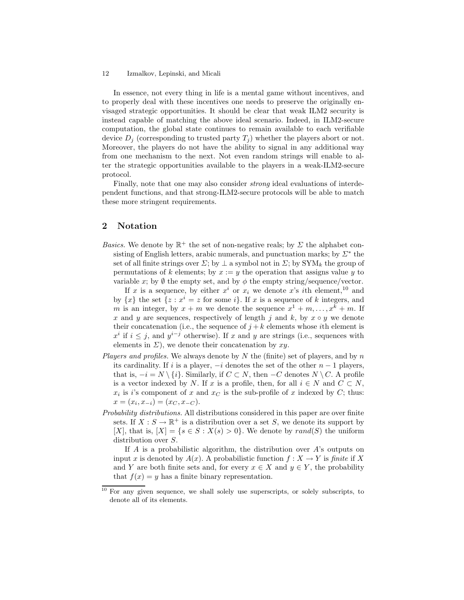In essence, not every thing in life is a mental game without incentives, and to properly deal with these incentives one needs to preserve the originally envisaged strategic opportunities. It should be clear that weak ILM2 security is instead capable of matching the above ideal scenario. Indeed, in ILM2-secure computation, the global state continues to remain available to each verifiable device  $D_i$  (corresponding to trusted party  $T_i$ ) whether the players abort or not. Moreover, the players do not have the ability to signal in any additional way from one mechanism to the next. Not even random strings will enable to alter the strategic opportunities available to the players in a weak-ILM2-secure protocol.

Finally, note that one may also consider strong ideal evaluations of interdependent functions, and that strong-ILM2-secure protocols will be able to match these more stringent requirements.

# 2 Notation

Basics. We denote by  $\mathbb{R}^+$  the set of non-negative reals; by  $\Sigma$  the alphabet consisting of English letters, arabic numerals, and punctuation marks; by  $\Sigma^*$  the set of all finite strings over  $\Sigma$ ; by  $\perp$  a symbol not in  $\Sigma$ ; by SYM<sub>k</sub> the group of permutations of k elements; by  $x := y$  the operation that assigns value y to variable x; by  $\emptyset$  the empty set, and by  $\phi$  the empty string/sequence/vector.

If x is a sequence, by either  $x^i$  or  $x_i$  we denote x's ith element,<sup>10</sup> and by  $\{x\}$  the set  $\{z: x^i = z \text{ for some } i\}$ . If x is a sequence of k integers, and m is an integer, by  $x + m$  we denote the sequence  $x^1 + m, \ldots, x^k + m$ . If x and y are sequences, respectively of length j and k, by  $x \circ y$  we denote their concatenation (i.e., the sequence of  $j + k$  elements whose *i*th element is  $x^i$  if  $i \leq j$ , and  $y^{i-j}$  otherwise). If x and y are strings (i.e., sequences with elements in  $\Sigma$ ), we denote their concatenation by xy.

- Players and profiles. We always denote by N the (finite) set of players, and by n its cardinality. If i is a player,  $-i$  denotes the set of the other  $n-1$  players, that is,  $-i = N \setminus \{i\}$ . Similarly, if  $C \subset N$ , then  $-C$  denotes  $N \setminus C$ . A profile is a vector indexed by N. If x is a profile, then, for all  $i \in N$  and  $C \subset N$ ,  $x_i$  is *i*'s component of x and  $x_C$  is the sub-profile of x indexed by C; thus:  $x = (x_i, x_{-i}) = (x_C, x_{-C}).$
- Probability distributions. All distributions considered in this paper are over finite sets. If  $X : S \to \mathbb{R}^+$  is a distribution over a set S, we denote its support by [X], that is,  $[X] = \{s \in S : X(s) > 0\}$ . We denote by  $rand(S)$  the uniform distribution over S.

If A is a probabilistic algorithm, the distribution over A's outputs on input x is denoted by  $A(x)$ . A probabilistic function  $f: X \to Y$  is finite if X and Y are both finite sets and, for every  $x \in X$  and  $y \in Y$ , the probability that  $f(x) = y$  has a finite binary representation.

<sup>&</sup>lt;sup>10</sup> For any given sequence, we shall solely use superscripts, or solely subscripts, to denote all of its elements.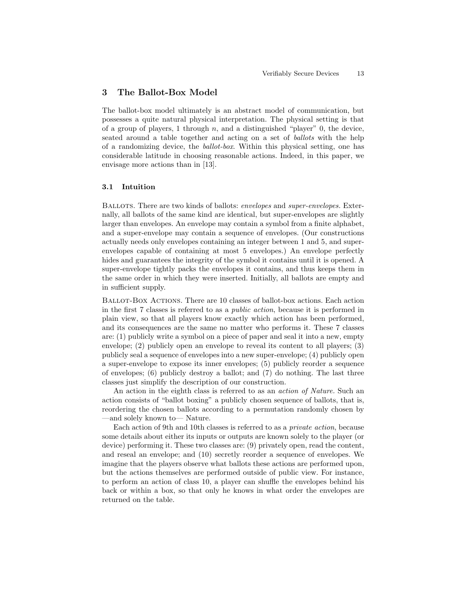# 3 The Ballot-Box Model

The ballot-box model ultimately is an abstract model of communication, but possesses a quite natural physical interpretation. The physical setting is that of a group of players, 1 through  $n$ , and a distinguished "player" 0, the device, seated around a table together and acting on a set of ballots with the help of a randomizing device, the ballot-box. Within this physical setting, one has considerable latitude in choosing reasonable actions. Indeed, in this paper, we envisage more actions than in [13].

# 3.1 Intuition

Ballots. There are two kinds of ballots: envelopes and super-envelopes. Externally, all ballots of the same kind are identical, but super-envelopes are slightly larger than envelopes. An envelope may contain a symbol from a finite alphabet, and a super-envelope may contain a sequence of envelopes. (Our constructions actually needs only envelopes containing an integer between 1 and 5, and superenvelopes capable of containing at most 5 envelopes.) An envelope perfectly hides and guarantees the integrity of the symbol it contains until it is opened. A super-envelope tightly packs the envelopes it contains, and thus keeps them in the same order in which they were inserted. Initially, all ballots are empty and in sufficient supply.

Ballot-Box Actions. There are 10 classes of ballot-box actions. Each action in the first 7 classes is referred to as a public action, because it is performed in plain view, so that all players know exactly which action has been performed, and its consequences are the same no matter who performs it. These 7 classes are: (1) publicly write a symbol on a piece of paper and seal it into a new, empty envelope; (2) publicly open an envelope to reveal its content to all players; (3) publicly seal a sequence of envelopes into a new super-envelope; (4) publicly open a super-envelope to expose its inner envelopes; (5) publicly reorder a sequence of envelopes;  $(6)$  publicly destroy a ballot; and  $(7)$  do nothing. The last three classes just simplify the description of our construction.

An action in the eighth class is referred to as an *action of Nature*. Such an action consists of "ballot boxing" a publicly chosen sequence of ballots, that is, reordering the chosen ballots according to a permutation randomly chosen by —and solely known to— Nature.

Each action of 9th and 10th classes is referred to as a private action, because some details about either its inputs or outputs are known solely to the player (or device) performing it. These two classes are: (9) privately open, read the content, and reseal an envelope; and (10) secretly reorder a sequence of envelopes. We imagine that the players observe what ballots these actions are performed upon, but the actions themselves are performed outside of public view. For instance, to perform an action of class 10, a player can shuffle the envelopes behind his back or within a box, so that only he knows in what order the envelopes are returned on the table.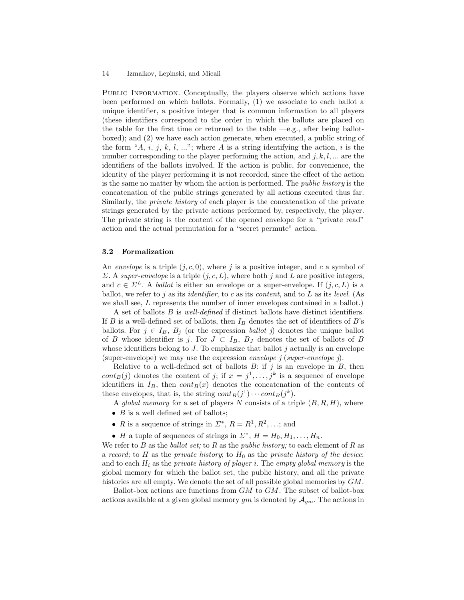PUBLIC INFORMATION. Conceptually, the players observe which actions have been performed on which ballots. Formally, (1) we associate to each ballot a unique identifier, a positive integer that is common information to all players (these identifiers correspond to the order in which the ballots are placed on the table for the first time or returned to the table —e.g., after being ballotboxed); and (2) we have each action generate, when executed, a public string of the form "A, i, j, k, l, ..."; where A is a string identifying the action, i is the number corresponding to the player performing the action, and  $j, k, l, \ldots$  are the identifiers of the ballots involved. If the action is public, for convenience, the identity of the player performing it is not recorded, since the effect of the action is the same no matter by whom the action is performed. The *public history* is the concatenation of the public strings generated by all actions executed thus far. Similarly, the private history of each player is the concatenation of the private strings generated by the private actions performed by, respectively, the player. The private string is the content of the opened envelope for a "private read" action and the actual permutation for a "secret permute" action.

### 3.2 Formalization

An envelope is a triple  $(j, c, 0)$ , where j is a positive integer, and c a symbol of  $\Sigma$ . A super-envelope is a triple  $(j, c, L)$ , where both j and L are positive integers, and  $c \in \Sigma^L$ . A *ballot* is either an envelope or a super-envelope. If  $(j, c, L)$  is a ballot, we refer to j as its *identifier*, to c as its *content*, and to L as its *level*. (As we shall see, L represents the number of inner envelopes contained in a ballot.)

A set of ballots  $B$  is *well-defined* if distinct ballots have distinct identifiers. If B is a well-defined set of ballots, then  $I_B$  denotes the set of identifiers of B's ballots. For  $j \in I_B$ ,  $B_j$  (or the expression *ballot* j) denotes the unique ballot of B whose identifier is j. For  $J \subset I_B$ ,  $B_J$  denotes the set of ballots of B whose identifiers belong to  $J$ . To emphasize that ballot  $j$  actually is an envelope (super-envelope) we may use the expression *envelope* j (super-envelope j).

Relative to a well-defined set of ballots  $B$ : if  $j$  is an envelope in  $B$ , then  $cont_B(j)$  denotes the content of j; if  $x = j<sup>1</sup>, \ldots, j<sup>k</sup>$  is a sequence of envelope identifiers in  $I_B$ , then  $cont_B(x)$  denotes the concatenation of the contents of these envelopes, that is, the string  $cont_B(j^1) \cdots cont_B(j^k)$ .

A global memory for a set of players N consists of a triple  $(B, R, H)$ , where

- $B$  is a well defined set of ballots;
- R is a sequence of strings in  $\Sigma^*$ ,  $R = R^1, R^2, \dots$ ; and
- *H* a tuple of sequences of strings in  $\Sigma^*$ ,  $H = H_0, H_1, \ldots, H_n$ .

We refer to B as the ballot set; to R as the public history; to each element of R as a record; to H as the private history; to  $H_0$  as the private history of the device; and to each  $H_i$  as the *private history of player i*. The *empty global memory* is the global memory for which the ballot set, the public history, and all the private histories are all empty. We denote the set of all possible global memories by  $GM$ .

Ballot-box actions are functions from GM to GM. The subset of ballot-box actions available at a given global memory gm is denoted by  $\mathcal{A}_{gm}$ . The actions in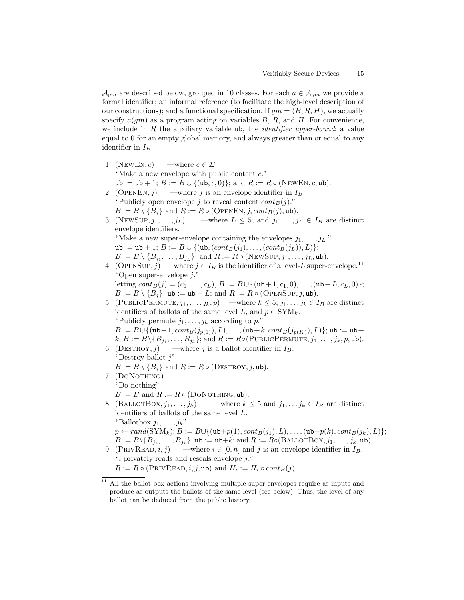$\mathcal{A}_{qm}$  are described below, grouped in 10 classes. For each  $a \in \mathcal{A}_{qm}$  we provide a formal identifier; an informal reference (to facilitate the high-level description of our constructions); and a functional specification. If  $gm = (B, R, H)$ , we actually specify  $a(gm)$  as a program acting on variables B, R, and H. For convenience, we include in  $R$  the auxiliary variable ub, the *identifier upper-bound*: a value equal to 0 for an empty global memory, and always greater than or equal to any identifier in  $I_B$ .

- 1. (NEWEN, c) —where  $c \in \Sigma$ . "Make a new envelope with public content c." ub := ub + 1;  $B := B \cup \{(\text{ub}, c, 0)\};$  and  $R := R \circ (\text{NewEn}, c, \text{ub}).$
- 2. (OPENEN, j) —where j is an envelope identifier in  $I_B$ . "Publicly open envelope j to reveal content  $cont_B(j)$ ."  $B := B \setminus \{B_i\}$  and  $R := R \circ (\text{OPEREN}, j, cont_B(j), \text{ub}).$
- 3. (NEWSUP,  $j_1, \ldots, j_L$ ) —where  $L \leq 5$ , and  $j_1, \ldots, j_L \in I_B$  are distinct envelope identifiers. "Make a new super-envelope containing the envelopes  $j_1, \ldots, j_L$ ."  $ub := ub + 1; B := B \cup \{ (ub, (cont_B(j_1), \ldots, (cont_B(j_L)), L) \};$

 $B := B \setminus \{B_{j_1}, \ldots, B_{j_L}\};$  and  $R := R \circ (\text{NewSup}, j_1, \ldots, j_L, \text{ub}).$ 

4. (OPENSUP, j) —where  $j \in I_B$  is the identifier of a level-L super-envelope.<sup>11</sup> "Open super-envelope j."

letting  $cont_B(j) = (c_1, \ldots, c_L), B := B \cup \{(\texttt{ub} + 1, c_1, 0), \ldots, (\texttt{ub} + L, c_L, 0)\};$  $B := B \setminus \{B_i\};$  ub := ub + L; and  $R := R \circ (\text{OPENSup}, j, \text{ub}).$ 

- 5. (PUBLICPERMUTE,  $j_1, \ldots, j_k, p$ ) —where  $k \leq 5, j_1, \ldots, j_k \in I_B$  are distinct identifiers of ballots of the same level L, and  $p \in \text{SYM}_k$ . "Publicly permute  $j_1, \ldots, j_k$  according to p."  $B := B \cup \{(\mathtt{ub} + 1, cont_B(j_{p(1)}), L), \ldots, (\mathtt{ub} + k, cont_B(j_{p(K)}), L)\}; \mathtt{ub} := \mathtt{ub} +$
- $k; B := B \setminus \{B_{j_1}, \ldots, B_{j_k}\};$  and  $R := R \circ (\text{PUBLICPERMUTE}, j_1, \ldots, j_k, p, \text{ub}).$ 6. (DESTROY, j) —where j is a ballot identifier in  $I_B$ . "Destroy ballot j"  $B := B \setminus \{B_i\}$  and  $R := R \circ ($ DESTROY, j, ub). 7. (DONOTHING).
- "Do nothing"

 $B := B$  and  $R := R \circ (DONOTHING, ub)$ .

- 8. (BALLOTBOX,  $j_1, \ldots, j_k$ ) where  $k \leq 5$  and  $j_1, \ldots, j_k \in I_B$  are distinct identifiers of ballots of the same level L. "Ballotbox  $j_1, \ldots, j_k$ "  $p \leftarrow rand(SYM_k); B := B \cup \{(\text{ub}+p(1), cont_B(j_1), L), \ldots, (\text{ub}+p(k), cont_B(j_k), L)\};$  $B := B \setminus \{B_{j_1}, \ldots, B_{j_k}\};$   $\text{ub} := \text{ub}+k$ ; and  $R := R \circ (\text{BALLOTBox}, j_1, \ldots, j_k, \text{ub}).$
- 9. (PRIVREAD,  $i, j$ ) —where  $i \in [0, n]$  and j is an envelope identifier in  $I_B$ . "i privately reads and reseals envelope  $j$ ."  $R := R \circ (\text{PRIVREAD}, i, j, \text{ub})$  and  $H_i := H_i \circ cont_B(j)$ .

 $^\mathrm{11}$  All the ballot-box actions involving multiple super-envelopes require as inputs and produce as outputs the ballots of the same level (see below). Thus, the level of any ballot can be deduced from the public history.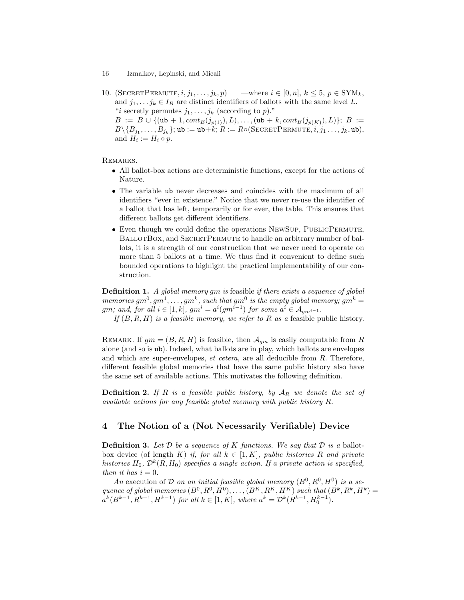- 16 Izmalkov, Lepinski, and Micali
- 10. (SECRETPERMUTE,  $i, j_1, \ldots, j_k, p$ ) —where  $i \in [0, n]$ ,  $k \leq 5$ ,  $p \in \text{SYM}_k$ , and  $j_1, \ldots, j_k \in I_B$  are distinct identifiers of ballots with the same level L. "*i* secretly permutes  $j_1, \ldots, j_k$  (according to p)."  $B := B \cup \{(\text{ub} + 1, cont_B(j_{p(1)}), L), \ldots, (\text{ub} + k, cont_B(j_{p(K)}), L)\}; B :=$  $B \setminus \{B_{j_1}, \ldots, B_{j_k}\};$   $\mathtt{ub} := \mathtt{ub} + k;$   $R := R \circ (\text{SECTIONERMUTE}, i, j_1 \ldots, j_k, \mathtt{ub}),$ and  $H_i := H_i \circ p$ .

REMARKS.

- All ballot-box actions are deterministic functions, except for the actions of Nature.
- The variable ub never decreases and coincides with the maximum of all identifiers "ever in existence." Notice that we never re-use the identifier of a ballot that has left, temporarily or for ever, the table. This ensures that different ballots get different identifiers.
- Even though we could define the operations NEWSUP, PUBLICPERMUTE, BALLOTBOX, and SECRETPERMUTE to handle an arbitrary number of ballots, it is a strength of our construction that we never need to operate on more than 5 ballots at a time. We thus find it convenient to define such bounded operations to highlight the practical implementability of our construction.

**Definition 1.** A global memory gm is feasible if there exists a sequence of global memories gm $^0,gm^1,\ldots,gm^k$ , such that gm $^0$  is the empty global memory; gm $^k=$  $gm; \ and, \ for \ all \ i \in [1, k], \ gm^i = a^i(gm^{i-1}) \ for \ some \ a^i \in \mathcal{A}_{gm^{i-1}}.$ 

If  $(B, R, H)$  is a feasible memory, we refer to R as a feasible public history.

REMARK. If  $gm = (B, R, H)$  is feasible, then  $\mathcal{A}_{qm}$  is easily computable from R alone (and so is ub). Indeed, what ballots are in play, which ballots are envelopes and which are super-envelopes, et cetera, are all deducible from R. Therefore, different feasible global memories that have the same public history also have the same set of available actions. This motivates the following definition.

**Definition 2.** If R is a feasible public history, by  $A_R$  we denote the set of available actions for any feasible global memory with public history R.

# 4 The Notion of a (Not Necessarily Verifiable) Device

**Definition 3.** Let  $D$  be a sequence of K functions. We say that  $D$  is a ballotbox device (of length K) if, for all  $k \in [1, K]$ , public histories R and private histories  $H_0$ ,  $\mathcal{D}^k(R, H_0)$  specifies a single action. If a private action is specified, then it has  $i = 0$ .

An execution of D on an initial feasible global memory  $(B^0, R^0, H^0)$  is a sequence of global memories  $(B^0, R^0, H^0), \ldots, (B^K, R^K, H^K)$  such that  $(B^k, R^k, H^k)$  $a^{k}(B^{k-1}, R^{k-1}, H^{k-1})$  for all  $k \in [1, K]$ , where  $a^{k} = \mathcal{D}^{k}(R^{k-1}, H_{0}^{k-1})$ .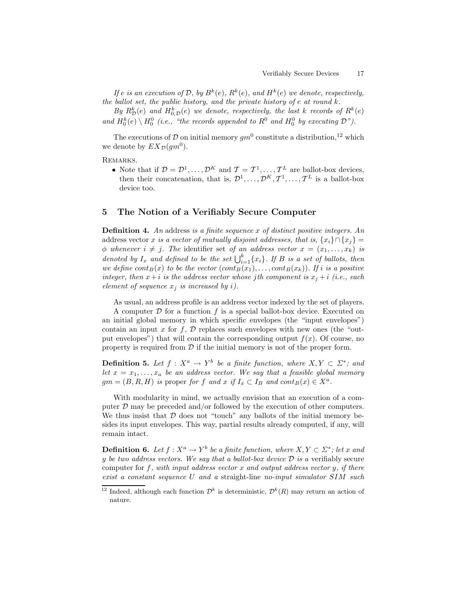If e is an execution of D, by  $B^k(e)$ ,  $R^k(e)$ , and  $H^k(e)$  we denote, respectively, the ballot set, the public history, and the private history of  $e$  at round  $k$ .

By  $R_{\mathcal{D}}^{k}(e)$  and  $H_{0,\mathcal{D}}^{k}(e)$  we denote, respectively, the last k records of  $R^{k}(e)$ and  $H_0^k(e) \setminus H_0^0$  (i.e., "the records appended to  $R^0$  and  $H_0^0$  by executing  $\mathcal{D}$ ").

The executions of D on initial memory  $gm^0$  constitute a distribution,<sup>12</sup> which we denote by  $EX_{\mathcal{D}}(gm^0)$ .

Remarks.

• Note that if  $\mathcal{D} = \mathcal{D}^1, \ldots, \mathcal{D}^K$  and  $\mathcal{T} = \mathcal{T}^1, \ldots, \mathcal{T}^L$  are ballot-box devices, then their concatenation, that is,  $\mathcal{D}^1, \ldots, \mathcal{D}^K, \mathcal{T}^1, \ldots, \mathcal{T}^L$  is a ballot-box device too.

# 5 The Notion of a Verifiably Secure Computer

**Definition 4.** An address is a finite sequence x of distinct positive integers. An address vector x is a vector of mutually disjoint addresses, that is,  $\{x_i\} \cap \{x_i\} =$  $\phi$  whenever  $i \neq j$ . The identifier set of an address vector  $x = (x_1, \ldots, x_k)$  is denoted by  $I_x$  and defined to be the set  $\bigcup_{i=1}^{k} \{x_i\}$ . If B is a set of ballots, then we define cont<sub>B</sub>(x) to be the vector  $(cont_B(x_1), \ldots, cont_B(x_k))$ . If i is a positive integer, then  $x+i$  is the address vector whose jth component is  $x_j +i$  (i.e., each element of sequence  $x_j$  is increased by i).

As usual, an address profile is an address vector indexed by the set of players.

A computer  $\mathcal D$  for a function f is a special ballot-box device. Executed on an initial global memory in which specific envelopes (the "input envelopes") contain an input x for f,  $D$  replaces such envelopes with new ones (the "output envelopes") that will contain the corresponding output  $f(x)$ . Of course, no property is required from  $D$  if the initial memory is not of the proper form.

**Definition 5.** Let  $f: X^a \to Y^b$  be a finite function, where  $X, Y \subset \Sigma^*$ ; and let  $x = x_1, \ldots, x_a$  be an address vector. We say that a feasible global memory  $gm = (B, R, H)$  is proper for f and x if  $I_x \subset I_B$  and  $cont_B(x) \in X^a$ .

With modularity in mind, we actually envision that an execution of a computer  $D$  may be preceded and/or followed by the execution of other computers. We thus insist that  $D$  does not "touch" any ballots of the initial memory besides its input envelopes. This way, partial results already computed, if any, will remain intact.

**Definition 6.** Let  $f: X^a \to Y^b$  be a finite function, where  $X, Y \subset \Sigma^*$ ; let x and y be two address vectors. We say that a ballot-box device  $D$  is a verifiably secure computer for f, with input address vector x and output address vector y, if there exist a constant sequence U and a straight-line no-input simulator SIM such

<sup>&</sup>lt;sup>12</sup> Indeed, although each function  $\mathcal{D}^k$  is deterministic,  $\mathcal{D}^k(R)$  may return an action of nature.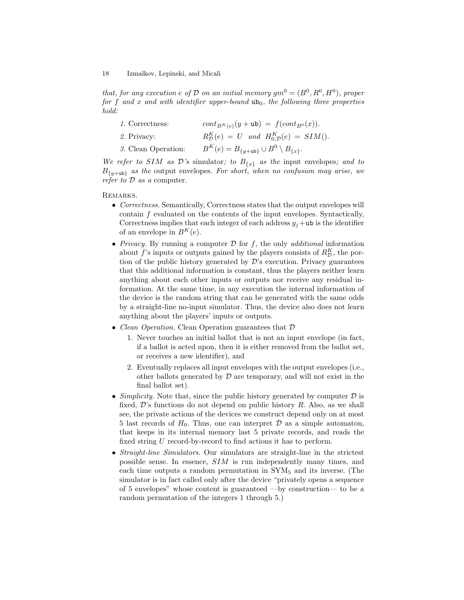that, for any execution e of  $D$  on an initial memory  $gm^0 = (B^0, R^0, H^0)$ , proper for f and x and with identifier upper-bound  $\mathbf{u}$ b<sub>0</sub>, the following three properties hold:

| 1. Correctness:     | $cont_{B^K(e)}(y + \text{ub}) = f(cont_{B^0}(x)).$                 |
|---------------------|--------------------------------------------------------------------|
| 2. Privacy:         | $R_{\mathcal{D}}^K(e) = U$ and $H_{0,\mathcal{D}}^K(e) = SIM(.)$ . |
| 3. Clean Operation: | $B^{K}(e) = B_{\{y+\text{ub}\}} \cup B^{0} \setminus B_{\{x\}}.$   |

We refer to SIM as  $\mathcal{D}'s$  simulator; to  $B_{\{x\}}$  as the input envelopes; and to  $B_{\{y+\text{ub}\}}$  as the output envelopes. For short, when no confusion may arise, we refer to  $D$  as a computer.

REMARKS.

- Correctness. Semantically, Correctness states that the output envelopes will contain f evaluated on the contents of the input envelopes. Syntactically, Correctness implies that each integer of each address  $y_i +$ ub is the identifier of an envelope in  $B^{K}(e)$ .
- Privacy. By running a computer  $\mathcal D$  for f, the only additional information about  $f$ 's inputs or outputs gained by the players consists of  $R_{\mathcal{D}}^K$ , the portion of the public history generated by  $\mathcal{D}$ 's execution. Privacy guarantees that this additional information is constant, thus the players neither learn anything about each other inputs or outputs nor receive any residual information. At the same time, in any execution the internal information of the device is the random string that can be generated with the same odds by a straight-line no-input simulator. Thus, the device also does not learn anything about the players' inputs or outputs.
- *Clean Operation*. Clean Operation guarantees that  $\mathcal{D}$ 
	- 1. Never touches an initial ballot that is not an input envelope (in fact, if a ballot is acted upon, then it is either removed from the ballot set, or receives a new identifier), and
	- 2. Eventually replaces all input envelopes with the output envelopes (i.e., other ballots generated by  $D$  are temporary, and will not exist in the final ballot set).
- Simplicity. Note that, since the public history generated by computer  $\mathcal D$  is fixed,  $\mathcal{D}$ 's functions do not depend on public history R. Also, as we shall see, the private actions of the devices we construct depend only on at most 5 last records of  $H_0$ . Thus, one can interpret  $\mathcal D$  as a simple automaton, that keeps in its internal memory last 5 private records, and reads the fixed string U record-by-record to find actions it has to perform.
- Straight-line Simulators. Our simulators are straight-line in the strictest possible sense. In essence, SIM is run independently many times, and each time outputs a random permutation in SYM<sup>5</sup> and its inverse. (The simulator is in fact called only after the device "privately opens a sequence of 5 envelopes" whose content is guaranteed —by construction— to be a random permutation of the integers 1 through 5.)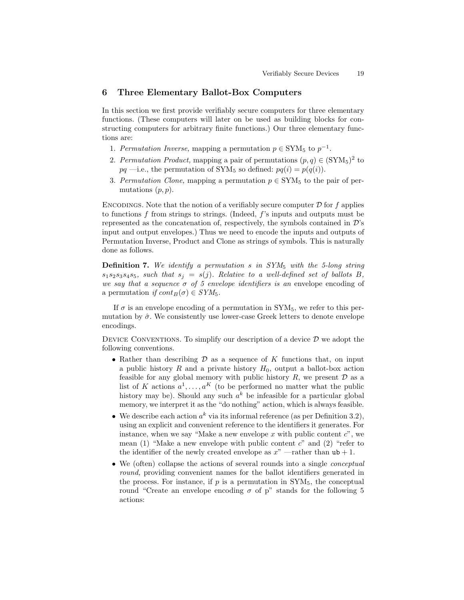# 6 Three Elementary Ballot-Box Computers

In this section we first provide verifiably secure computers for three elementary functions. (These computers will later on be used as building blocks for constructing computers for arbitrary finite functions.) Our three elementary functions are:

- 1. Permutation Inverse, mapping a permutation  $p \in \text{SYM}_5$  to  $p^{-1}$ .
- 2. Permutation Product, mapping a pair of permutations  $(p, q) \in (SYM_5)^2$  to  $pq$  —i.e., the permutation of SYM<sub>5</sub> so defined:  $pq(i) = p(q(i))$ .
- 3. Permutation Clone, mapping a permutation  $p \in \text{SYM}_5$  to the pair of permutations  $(p, p)$ .

ENCODINGS. Note that the notion of a verifiably secure computer  $\mathcal D$  for f applies to functions f from strings to strings. (Indeed, f's inputs and outputs must be represented as the concatenation of, respectively, the symbols contained in  $\mathcal{D}$ 's input and output envelopes.) Thus we need to encode the inputs and outputs of Permutation Inverse, Product and Clone as strings of symbols. This is naturally done as follows.

**Definition 7.** We identify a permutation s in  $SYM<sub>5</sub>$  with the 5-long string  $s_1s_2s_3s_4s_5$ , such that  $s_j = s(j)$ . Relative to a well-defined set of ballots B, we say that a sequence  $\sigma$  of 5 envelope identifiers is an envelope encoding of a permutation if  $cont_B(\sigma) \in SYM_5$ .

If  $\sigma$  is an envelope encoding of a permutation in SYM<sub>5</sub>, we refer to this permutation by  $\hat{\sigma}$ . We consistently use lower-case Greek letters to denote envelope encodings.

DEVICE CONVENTIONS. To simplify our description of a device  $\mathcal D$  we adopt the following conventions.

- Rather than describing  $\mathcal D$  as a sequence of K functions that, on input a public history  $R$  and a private history  $H_0$ , output a ballot-box action feasible for any global memory with public history  $R$ , we present  $D$  as a list of K actions  $a^1, \ldots, a^K$  (to be performed no matter what the public history may be). Should any such  $a^k$  be infeasible for a particular global memory, we interpret it as the "do nothing" action, which is always feasible.
- We describe each action  $a^k$  via its informal reference (as per Definition 3.2), using an explicit and convenient reference to the identifiers it generates. For instance, when we say "Make a new envelope x with public content  $c$ ", we mean (1) "Make a new envelope with public content  $c$ " and (2) "refer to the identifier of the newly created envelope as  $x^{\prime\prime}$  —rather than  $ub + 1$ .
- We (often) collapse the actions of several rounds into a single *conceptual* round, providing convenient names for the ballot identifiers generated in the process. For instance, if  $p$  is a permutation in  $\text{SYM}_5$ , the conceptual round "Create an envelope encoding  $\sigma$  of p" stands for the following 5 actions: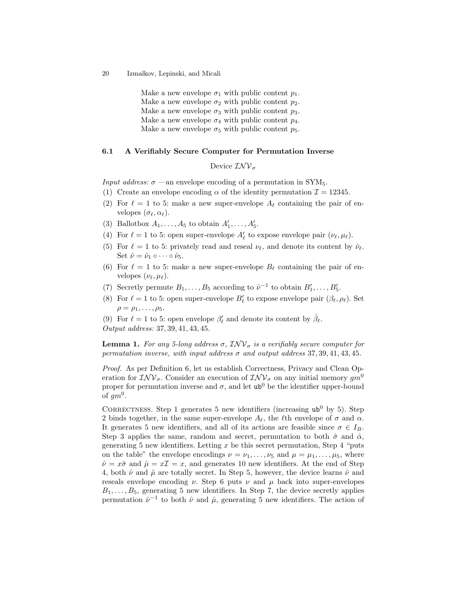Make a new envelope  $\sigma_1$  with public content  $p_1$ . Make a new envelope  $\sigma_2$  with public content  $p_2$ . Make a new envelope  $\sigma_3$  with public content  $p_3$ . Make a new envelope  $\sigma_4$  with public content  $p_4$ . Make a new envelope  $\sigma_5$  with public content  $p_5$ .

#### 6.1 A Verifiably Secure Computer for Permutation Inverse

### Device  $\mathcal{INV}_{\sigma}$

*Input address:*  $\sigma$  —an envelope encoding of a permutation in SYM<sub>5</sub>.

- (1) Create an envelope encoding  $\alpha$  of the identity permutation  $\mathcal{I} = 12345$ .
- (2) For  $\ell = 1$  to 5: make a new super-envelope  $A_{\ell}$  containing the pair of envelopes  $(\sigma_{\ell}, \alpha_{\ell}).$
- (3) Ballotbox  $A_1, \ldots, A_5$  to obtain  $A'_1, \ldots, A'_5$ .
- (4) For  $\ell = 1$  to 5: open super-envelope  $A'_{\ell}$  to expose envelope pair  $(\nu_{\ell}, \mu_{\ell})$ .
- (5) For  $\ell = 1$  to 5: privately read and reseal  $\nu_{\ell}$ , and denote its content by  $\hat{\nu}_{\ell}$ . Set  $\hat{\nu} = \hat{\nu}_1 \circ \cdots \circ \hat{\nu}_5$ .
- (6) For  $\ell = 1$  to 5: make a new super-envelope  $B_{\ell}$  containing the pair of envelopes  $(\nu_{\ell}, \mu_{\ell}).$
- (7) Secretly permute  $B_1, \ldots, B_5$  according to  $\hat{\nu}^{-1}$  to obtain  $B'_1, \ldots, B'_5$ .
- (8) For  $\ell = 1$  to 5: open super-envelope  $B'_\ell$  to expose envelope pair  $(\beta_\ell, \rho_\ell)$ . Set  $\rho = \rho_1, \ldots, \rho_5.$
- (9) For  $\ell = 1$  to 5: open envelope  $\beta'_{\ell}$  and denote its content by  $\hat{\beta}_{\ell}$ . Output address: 37, 39, 41, 43, 45.

**Lemma 1.** For any 5-long address  $\sigma$ ,  $\mathcal{INV}_{\sigma}$  is a verifiably secure computer for permutation inverse, with input address  $\sigma$  and output address 37, 39, 41, 43, 45.

Proof. As per Definition 6, let us establish Correctness, Privacy and Clean Operation for  $\mathcal{INV}_{\sigma}$ . Consider an execution of  $\mathcal{INV}_{\sigma}$  on any initial memory  $gm^0$ proper for permutation inverse and  $\sigma$ , and let ub<sup>0</sup> be the identifier upper-bound of  $g m^0$ .

CORRECTNESS. Step 1 generates 5 new identifiers (increasing  $ub^0$  by 5). Step 2 binds together, in the same super-envelope  $A_{\ell}$ , the  $\ell$ th envelope of  $\sigma$  and  $\alpha$ . It generates 5 new identifiers, and all of its actions are feasible since  $\sigma \in I_B$ . Step 3 applies the same, random and secret, permutation to both  $\hat{\sigma}$  and  $\hat{\alpha}$ , generating 5 new identifiers. Letting  $x$  be this secret permutation, Step 4 "puts on the table" the envelope encodings  $\nu = \nu_1, \ldots, \nu_5$  and  $\mu = \mu_1, \ldots, \mu_5$ , where  $\hat{\nu} = x\hat{\sigma}$  and  $\hat{\mu} = x\mathcal{I} = x$ , and generates 10 new identifiers. At the end of Step 4, both  $\hat{\nu}$  and  $\hat{\mu}$  are totally secret. In Step 5, however, the device learns  $\hat{\nu}$  and reseals envelope encoding  $\nu$ . Step 6 puts  $\nu$  and  $\mu$  back into super-envelopes  $B_1, \ldots, B_5$ , generating 5 new identifiers. In Step 7, the device secretly applies permutation  $\hat{\nu}^{-1}$  to both  $\hat{\nu}$  and  $\hat{\mu}$ , generating 5 new identifiers. The action of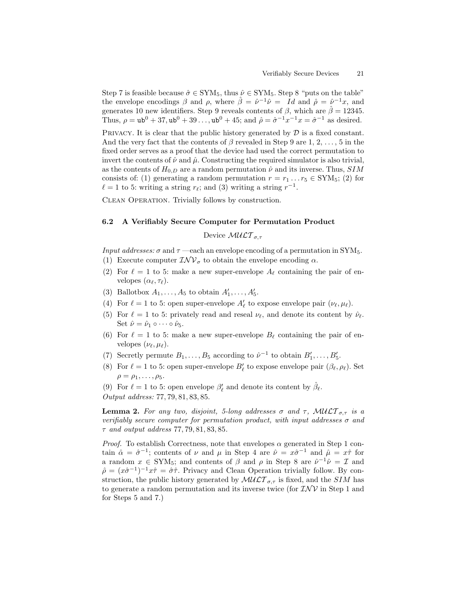Step 7 is feasible because  $\hat{\sigma} \in \text{SYM}_5$ , thus  $\hat{\nu} \in \text{SYM}_5$ . Step 8 "puts on the table" the envelope encodings  $\beta$  and  $\rho$ , where  $\hat{\beta} = \hat{\nu}^{-1}\hat{\nu} = Id$  and  $\hat{\rho} = \hat{\nu}^{-1}x$ , and generates 10 new identifiers. Step 9 reveals contents of  $\beta$ , which are  $\hat{\beta} = 12345$ . Thus,  $\rho = \text{ub}^0 + 37$ ,  $\text{ub}^0 + 39$ ...,  $\text{ub}^0 + 45$ ; and  $\hat{\rho} = \hat{\sigma}^{-1}x^{-1}x = \hat{\sigma}^{-1}$  as desired.

PRIVACY. It is clear that the public history generated by  $D$  is a fixed constant. And the very fact that the contents of  $\beta$  revealed in Step 9 are 1, 2, ..., 5 in the fixed order serves as a proof that the device had used the correct permutation to invert the contents of  $\hat{\nu}$  and  $\hat{\mu}$ . Constructing the required simulator is also trivial, as the contents of  $H_{0,D}$  are a random permutation  $\hat{\nu}$  and its inverse. Thus, SIM consists of: (1) generating a random permutation  $r = r_1 \dots r_5 \in \text{SYM}_5$ ; (2) for  $\ell = 1$  to 5: writing a string  $r_{\ell}$ ; and (3) writing a string  $r^{-1}$ .

Clean Operation. Trivially follows by construction.

### 6.2 A Verifiably Secure Computer for Permutation Product

# Device  $\mathcal{MULT}_{\sigma,\tau}$

Input addresses:  $\sigma$  and  $\tau$  —each an envelope encoding of a permutation in SYM<sub>5</sub>. (1) Execute computer  $\mathcal{INV}_{\sigma}$  to obtain the envelope encoding  $\alpha$ .

- (2) For  $\ell = 1$  to 5: make a new super-envelope  $A_{\ell}$  containing the pair of envelopes  $(\alpha_{\ell}, \tau_{\ell}).$
- (3) Ballotbox  $A_1, \ldots, A_5$  to obtain  $A'_1, \ldots, A'_5$ .
- (4) For  $\ell = 1$  to 5: open super-envelope  $A'_{\ell}$  to expose envelope pair  $(\nu_{\ell}, \mu_{\ell})$ .
- (5) For  $\ell = 1$  to 5: privately read and reseal  $\nu_{\ell}$ , and denote its content by  $\hat{\nu}_{\ell}$ . Set  $\hat{\nu} = \hat{\nu}_1 \circ \cdots \circ \hat{\nu}_5$ .
- (6) For  $\ell = 1$  to 5: make a new super-envelope  $B_{\ell}$  containing the pair of envelopes  $(\nu_{\ell}, \mu_{\ell}).$
- (7) Secretly permute  $B_1, \ldots, B_5$  according to  $\hat{\nu}^{-1}$  to obtain  $B'_1, \ldots, B'_5$ .
- (8) For  $\ell = 1$  to 5: open super-envelope  $B'_\ell$  to expose envelope pair  $(\beta_\ell, \rho_\ell)$ . Set  $\rho = \rho_1, \ldots, \rho_5$ .
- (9) For  $\ell = 1$  to 5: open envelope  $\beta'_{\ell}$  and denote its content by  $\hat{\beta}_{\ell}$ .
- Output address: 77, 79, 81, 83, 85.

**Lemma 2.** For any two, disjoint, 5-long addresses  $\sigma$  and  $\tau$ , MULT<sub> $\sigma$ , $\tau$ </sub> is a verifiably secure computer for permutation product, with input addresses  $\sigma$  and  $\tau$  and output address 77, 79, 81, 83, 85.

*Proof.* To establish Correctness, note that envelopes  $\alpha$  generated in Step 1 contain  $\hat{\alpha} = \hat{\sigma}^{-1}$ ; contents of  $\nu$  and  $\mu$  in Step 4 are  $\hat{\nu} = x\hat{\sigma}^{-1}$  and  $\hat{\mu} = x\hat{\tau}$  for a random  $x \in \text{SYM}_5$ ; and contents of  $\beta$  and  $\rho$  in Step 8 are  $\hat{\nu}^{-1}\hat{\nu} = \mathcal{I}$  and  $\hat{\rho} = (x\hat{\sigma}^{-1})^{-1}x\hat{\tau} = \hat{\sigma}\hat{\tau}$ . Privacy and Clean Operation trivially follow. By construction, the public history generated by  $\mathcal{MULT}_{\sigma,\tau}$  is fixed, and the SIM has to generate a random permutation and its inverse twice (for  $\mathcal{INV}$  in Step 1 and for Steps 5 and 7.)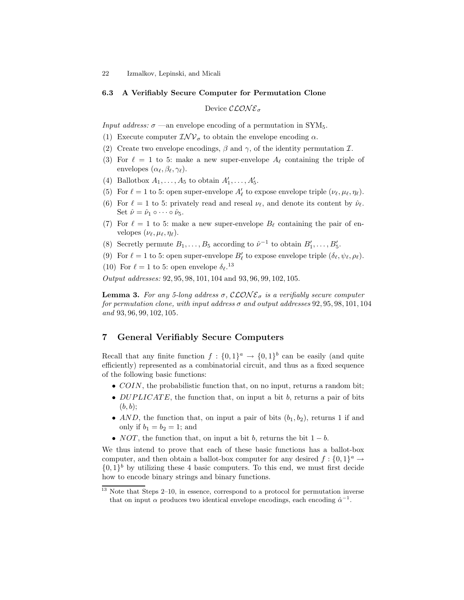### 6.3 A Verifiably Secure Computer for Permutation Clone

Device  $\mathcal{CLONE}_{\sigma}$ 

*Input address:*  $\sigma$  —an envelope encoding of a permutation in SYM<sub>5</sub>.

- (1) Execute computer  $\mathcal{INV}_{\sigma}$  to obtain the envelope encoding  $\alpha$ .
- (2) Create two envelope encodings,  $\beta$  and  $\gamma$ , of the identity permutation  $\mathcal{I}$ .
- (3) For  $\ell = 1$  to 5: make a new super-envelope  $A_{\ell}$  containing the triple of envelopes  $(\alpha_{\ell}, \beta_{\ell}, \gamma_{\ell}).$
- (4) Ballotbox  $A_1, \ldots, A_5$  to obtain  $A'_1, \ldots, A'_5$ .
- (5) For  $\ell = 1$  to 5: open super-envelope  $A'_\ell$  to expose envelope triple  $(\nu_\ell, \mu_\ell, \eta_\ell)$ .
- (6) For  $\ell = 1$  to 5: privately read and reseal  $\nu_{\ell}$ , and denote its content by  $\hat{\nu}_{\ell}$ . Set  $\hat{\nu} = \hat{\nu}_1 \circ \cdots \circ \hat{\nu}_5$ .
- (7) For  $\ell = 1$  to 5: make a new super-envelope  $B_{\ell}$  containing the pair of envelopes  $(\nu_{\ell}, \mu_{\ell}, \eta_{\ell}).$
- (8) Secretly permute  $B_1, \ldots, B_5$  according to  $\hat{\nu}^{-1}$  to obtain  $B'_1, \ldots, B'_5$ .
- (9) For  $\ell = 1$  to 5: open super-envelope  $B'_\ell$  to expose envelope triple  $(\delta_\ell, \psi_\ell, \rho_\ell)$ .
- (10) For  $\ell = 1$  to 5: open envelope  $\delta_{\ell}$ .<sup>13</sup>

Output addresses: 92, 95, 98, 101, 104 and 93, 96, 99, 102, 105.

**Lemma 3.** For any 5-long address  $\sigma$ ,  $\mathcal{CLONE}_{\sigma}$  is a verifiably secure computer for permutation clone, with input address  $\sigma$  and output addresses 92, 95, 98, 101, 104 and 93, 96, 99, 102, 105.

# 7 General Verifiably Secure Computers

Recall that any finite function  $f: \{0,1\}^a \to \{0,1\}^b$  can be easily (and quite efficiently) represented as a combinatorial circuit, and thus as a fixed sequence of the following basic functions:

- COIN, the probabilistic function that, on no input, returns a random bit;
- DUPLICATE, the function that, on input a bit  $b$ , returns a pair of bits  $(b, b);$
- AND, the function that, on input a pair of bits  $(b_1, b_2)$ , returns 1 if and only if  $b_1 = b_2 = 1$ ; and
- NOT, the function that, on input a bit b, returns the bit  $1 b$ .

We thus intend to prove that each of these basic functions has a ballot-box computer, and then obtain a ballot-box computer for any desired  $f: \{0,1\}^a \rightarrow$  $\{0,1\}$ <sup>b</sup> by utilizing these 4 basic computers. To this end, we must first decide how to encode binary strings and binary functions.

<sup>13</sup> Note that Steps 2–10, in essence, correspond to a protocol for permutation inverse that on input  $\alpha$  produces two identical envelope encodings, each encoding  $\hat{\alpha}^{-1}$ .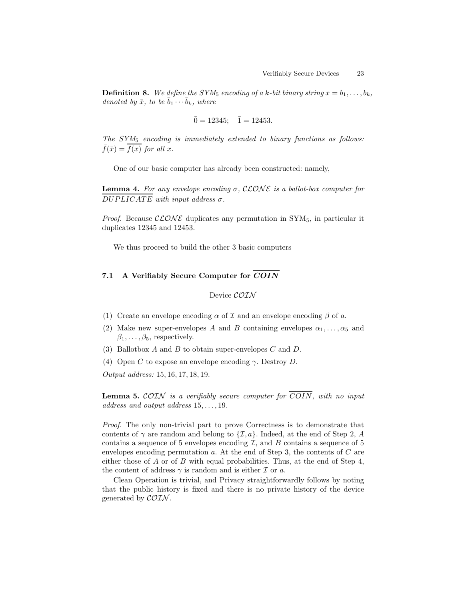**Definition 8.** We define the SYM<sub>5</sub> encoding of a k-bit binary string  $x = b_1, \ldots, b_k$ , denoted by  $\bar{x}$ , to be  $b_1 \cdots b_k$ , where

$$
\bar{0} = 12345; \quad \bar{1} = 12453.
$$

The  $SYM<sub>5</sub>$  encoding is immediately extended to binary functions as follows:  $\bar{f}(\bar{x}) = f(x)$  for all x.

One of our basic computer has already been constructed: namely,

**Lemma 4.** For any envelope encoding  $\sigma$ ,  $\mathcal{CLONE}$  is a ballot-box computer for  $DUPLICATE$  with input address  $\sigma$ .

*Proof.* Because  $\mathcal{CLONE}$  duplicates any permutation in SYM<sub>5</sub>, in particular it duplicates 12345 and 12453.

We thus proceed to build the other 3 basic computers

# 7.1 A Verifiably Secure Computer for COIN

Device  $\mathcal{COTN}$ 

- (1) Create an envelope encoding  $\alpha$  of  $\mathcal I$  and an envelope encoding  $\beta$  of a.
- (2) Make new super-envelopes A and B containing envelopes  $\alpha_1, \ldots, \alpha_5$  and  $\beta_1, \ldots, \beta_5$ , respectively.
- (3) Ballotbox  $A$  and  $B$  to obtain super-envelopes  $C$  and  $D$ .
- (4) Open C to expose an envelope encoding  $\gamma$ . Destroy D.

Output address: 15, 16, 17, 18, 19.

**Lemma 5.** COIN is a verifiably secure computer for  $\overline{CONN}$ , with no input address and output address  $15, \ldots, 19$ .

Proof. The only non-trivial part to prove Correctness is to demonstrate that contents of  $\gamma$  are random and belong to  $\{\mathcal{I},a\}$ . Indeed, at the end of Step 2, A contains a sequence of 5 envelopes encoding  $\mathcal{I}$ , and  $B$  contains a sequence of 5 envelopes encoding permutation  $a$ . At the end of Step 3, the contents of  $C$  are either those of  $A$  or of  $B$  with equal probabilities. Thus, at the end of Step 4, the content of address  $\gamma$  is random and is either  $\mathcal I$  or  $a$ .

Clean Operation is trivial, and Privacy straightforwardly follows by noting that the public history is fixed and there is no private history of the device generated by  $\mathcal{COIN}$ .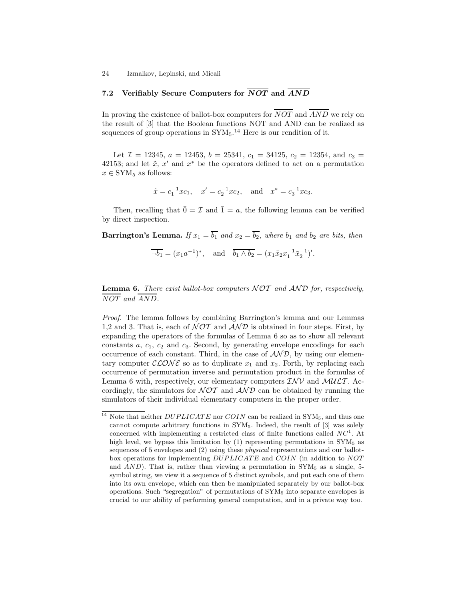# 7.2 Verifiably Secure Computers for  $\overline{NOT}$  and  $\overline{AND}$

In proving the existence of ballot-box computers for  $\overline{NOT}$  and  $\overline{AND}$  we rely on the result of [3] that the Boolean functions NOT and AND can be realized as sequences of group operations in  $SYM<sub>5</sub>$ .<sup>14</sup> Here is our rendition of it.

Let  $\mathcal{I} = 12345$ ,  $a = 12453$ ,  $b = 25341$ ,  $c_1 = 34125$ ,  $c_2 = 12354$ , and  $c_3 =$ 42153; and let  $\tilde{x}$ ,  $x'$  and  $x^*$  be the operators defined to act on a permutation  $x \in \text{SYM}_5$  as follows:

$$
\tilde{x} = c_1^{-1}xc_1
$$
,  $x' = c_2^{-1}xc_2$ , and  $x^* = c_3^{-1}xc_3$ .

Then, recalling that  $\bar{0} = \mathcal{I}$  and  $\bar{1} = a$ , the following lemma can be verified by direct inspection.

**Barrington's Lemma.** If  $x_1 = \overline{b_1}$  and  $x_2 = \overline{b_2}$ , where  $b_1$  and  $b_2$  are bits, then

$$
\overline{-b_1} = (x_1 a^{-1})^*
$$
, and  $\overline{b_1 \wedge b_2} = (x_1 \tilde{x}_2 x_1^{-1} \tilde{x}_2^{-1})'$ .

**Lemma 6.** There exist ballot-box computers  $NOT$  and  $AND$  for, respectively, NOT and AND.

Proof. The lemma follows by combining Barrington's lemma and our Lemmas 1,2 and 3. That is, each of  $\mathcal{N}OT$  and  $\mathcal{AND}$  is obtained in four steps. First, by expanding the operators of the formulas of Lemma 6 so as to show all relevant constants  $a, c_1, c_2$  and  $c_3$ . Second, by generating envelope encodings for each occurrence of each constant. Third, in the case of  $\mathcal{AND}$ , by using our elementary computer  $\mathcal{CLONE}$  so as to duplicate  $x_1$  and  $x_2$ . Forth, by replacing each occurrence of permutation inverse and permutation product in the formulas of Lemma 6 with, respectively, our elementary computers  $\mathcal{INV}$  and  $\mathcal{MULT}$ . Accordingly, the simulators for  $\mathcal{NOT}$  and  $\mathcal{AND}$  can be obtained by running the simulators of their individual elementary computers in the proper order.

 $\frac{14}{14}$  Note that neither *DUPLICATE* nor *COIN* can be realized in SYM<sub>5</sub>, and thus one cannot compute arbitrary functions in SYM5. Indeed, the result of [3] was solely concerned with implementing a restricted class of finite functions called  $NC<sup>1</sup>$ . At high level, we bypass this limitation by  $(1)$  representing permutations in  $SYM<sub>5</sub>$  as sequences of 5 envelopes and (2) using these physical representations and our ballotbox operations for implementing DUPLICATE and COIN (in addition to NOT and  $AND$ ). That is, rather than viewing a permutation in SYM $_5$  as a single, 5symbol string, we view it a sequence of 5 distinct symbols, and put each one of them into its own envelope, which can then be manipulated separately by our ballot-box operations. Such "segregation" of permutations of SYM<sup>5</sup> into separate envelopes is crucial to our ability of performing general computation, and in a private way too.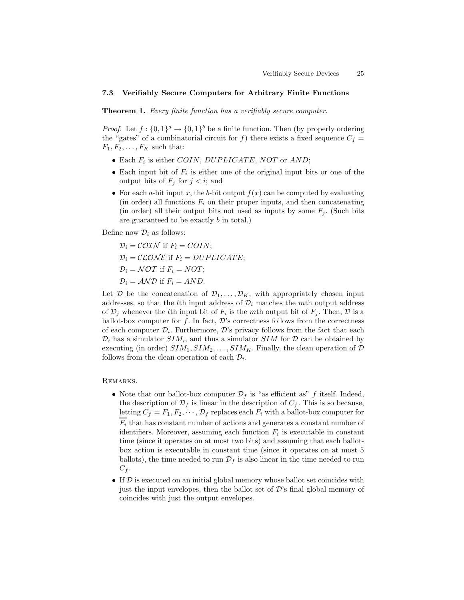### 7.3 Verifiably Secure Computers for Arbitrary Finite Functions

Theorem 1. Every finite function has a verifiably secure computer.

*Proof.* Let  $f : \{0,1\}^a \to \{0,1\}^b$  be a finite function. Then (by properly ordering the "gates" of a combinatorial circuit for f) there exists a fixed sequence  $C_f$  =  $F_1, F_2, \ldots, F_K$  such that:

- Each  $F_i$  is either COIN, DUPLICATE, NOT or AND;
- Each input bit of  $F_i$  is either one of the original input bits or one of the output bits of  $F_j$  for  $j < i$ ; and
- For each a-bit input x, the b-bit output  $f(x)$  can be computed by evaluating (in order) all functions  $F_i$  on their proper inputs, and then concatenating (in order) all their output bits not used as inputs by some  $F_j$ . (Such bits are guaranteed to be exactly b in total.)

Define now  $\mathcal{D}_i$  as follows:

 $\mathcal{D}_i = \mathcal{COIN}$  if  $F_i = \mathcal{COIN}$ ;  $\mathcal{D}_i = \mathcal{CLONE}$  if  $F_i = DUPLICATE$ ;  $\mathcal{D}_i = \mathcal{N} \mathcal{O} \mathcal{T}$  if  $F_i = \mathcal{N} \mathcal{O} T$ ;  $\mathcal{D}_i = \mathcal{AND}$  if  $F_i = AND$ .

Let D be the concatenation of  $\mathcal{D}_1, \ldots, \mathcal{D}_K$ , with appropriately chosen input addresses, so that the *l*th input address of  $\mathcal{D}_i$  matches the *mth* output address of  $\mathcal{D}_j$  whenever the lth input bit of  $F_i$  is the mth output bit of  $F_j$ . Then,  $\mathcal D$  is a ballot-box computer for  $f$ . In fact,  $\mathcal{D}$ 's correctness follows from the correctness of each computer  $\mathcal{D}_i$ . Furthermore,  $\mathcal{D}'$ 's privacy follows from the fact that each  $\mathcal{D}_i$  has a simulator  $SIM_i$ , and thus a simulator  $SIM$  for  $\mathcal{D}$  can be obtained by executing (in order)  $SIM_1, SIM_2, \ldots, SIM_K$ . Finally, the clean operation of  $D$ follows from the clean operation of each  $\mathcal{D}_i$ .

REMARKS.

- Note that our ballot-box computer  $\mathcal{D}_f$  is "as efficient as" f itself. Indeed, the description of  $\mathcal{D}_f$  is linear in the description of  $C_f$ . This is so because, letting  $C_f = F_1, F_2, \cdots, \mathcal{D}_f$  replaces each  $F_i$  with a ballot-box computer for  $F_i$  that has constant number of actions and generates a constant number of identifiers. Moreover, assuming each function  $F_i$  is executable in constant time (since it operates on at most two bits) and assuming that each ballotbox action is executable in constant time (since it operates on at most 5 ballots), the time needed to run  $\mathcal{D}_f$  is also linear in the time needed to run  $C_f$ .
- If D is executed on an initial global memory whose ballot set coincides with just the input envelopes, then the ballot set of  $\mathcal{D}$ 's final global memory of coincides with just the output envelopes.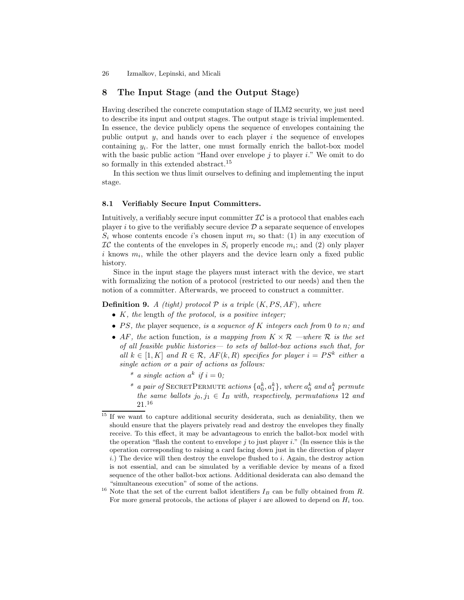# 8 The Input Stage (and the Output Stage)

Having described the concrete computation stage of ILM2 security, we just need to describe its input and output stages. The output stage is trivial implemented. In essence, the device publicly opens the sequence of envelopes containing the public output  $y$ , and hands over to each player  $i$  the sequence of envelopes containing  $y_i$ . For the latter, one must formally enrich the ballot-box model with the basic public action "Hand over envelope  $i$  to player  $i$ ." We omit to do so formally in this extended abstract.<sup>15</sup>

In this section we thus limit ourselves to defining and implementing the input stage.

### 8.1 Verifiably Secure Input Committers.

Intuitively, a verifiably secure input committer  $\mathcal{IC}$  is a protocol that enables each player i to give to the verifiably secure device  $\mathcal D$  a separate sequence of envelopes  $S_i$  whose contents encode is chosen input  $m_i$  so that: (1) in any execution of  $IC$  the contents of the envelopes in  $S_i$  properly encode  $m_i$ ; and (2) only player i knows  $m_i$ , while the other players and the device learn only a fixed public history.

Since in the input stage the players must interact with the device, we start with formalizing the notion of a protocol (restricted to our needs) and then the notion of a committer. Afterwards, we proceed to construct a committer.

**Definition 9.** A (tight) protocol  $P$  is a triple  $(K, PS, AF)$ , where

- $K$ , the length of the protocol, is a positive integer;
- PS, the player sequence, is a sequence of K integers each from 0 to n; and
- AF, the action function, is a mapping from  $K \times \mathcal{R}$  —where  $\mathcal R$  is the set of all feasible public histories— to sets of ballot-box actions such that, for all  $k \in [1, K]$  and  $R \in \mathcal{R}$ ,  $AF(k, R)$  specifies for player  $i = PS^k$  either a single action or a pair of actions as follows:
	- \* a single action  $a^k$  if  $i = 0$ ;
	- \* a pair of SECRETPERMUTE actions  $\{a_0^k, a_1^k\}$ , where  $a_0^k$  and  $a_1^k$  permute the same ballots  $j_0, j_1 \in I_B$  with, respectively, permutations 12 and 21. 16

<sup>&</sup>lt;sup>15</sup> If we want to capture additional security desiderata, such as deniability, then we should ensure that the players privately read and destroy the envelopes they finally receive. To this effect, it may be advantageous to enrich the ballot-box model with the operation "flash the content to envelope  $j$  to just player i." (In essence this is the operation corresponding to raising a card facing down just in the direction of player i.) The device will then destroy the envelope flushed to i. Again, the destroy action is not essential, and can be simulated by a verifiable device by means of a fixed sequence of the other ballot-box actions. Additional desiderata can also demand the "simultaneous execution" of some of the actions.

<sup>&</sup>lt;sup>16</sup> Note that the set of the current ballot identifiers  $I_B$  can be fully obtained from R. For more general protocols, the actions of player  $i$  are allowed to depend on  $H_i$  too.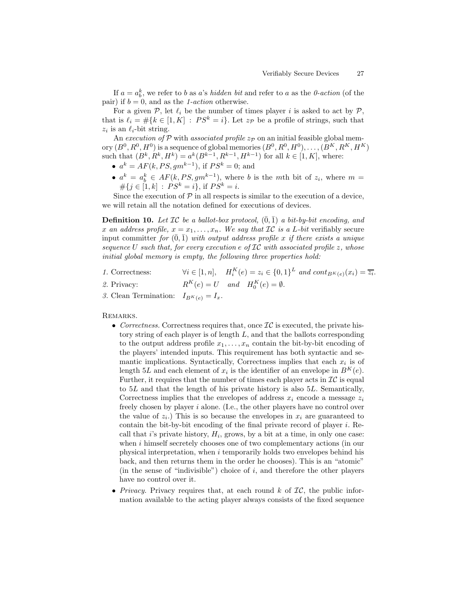If  $a = a_b^k$ , we refer to b as a's hidden bit and refer to a as the 0-action (of the pair) if  $b = 0$ , and as the 1-action otherwise.

For a given  $P$ , let  $\ell_i$  be the number of times player i is asked to act by  $P$ , that is  $\ell_i = \#\{k \in [1, K] : PS^k = i\}$ . Let  $z_{\mathcal{P}}$  be a profile of strings, such that  $z_i$  is an  $\ell_i$ -bit string.

An execution of P with associated profile  $z_{\mathcal{P}}$  on an initial feasible global memory  $(B^0, R^0, H^0)$  is a sequence of global memories  $(B^0, R^0, H^0), \ldots, (B^K, R^K, H^K)$ such that  $(B^k, R^k, H^k) = a^k(B^{k-1}, R^{k-1}, H^{k-1})$  for all  $k \in [1, K]$ , where:

- $a^k = AF(k, PS, gm^{k-1})$ , if  $PS^k = 0$ ; and
- $a^k = a_b^k \in AF(k, PS, gm^{k-1}),$  where b is the mth bit of  $z_i$ , where  $m =$  $\#\{j \in [1, k] : PS^k = i\},\$  if  $PS^k = i$ .

Since the execution of  $P$  in all respects is similar to the execution of a device, we will retain all the notation defined for executions of devices.

**Definition 10.** Let  $IC$  be a ballot-box protocol,  $(\overline{0}, \overline{1})$  a bit-by-bit encoding, and x an address profile,  $x = x_1, \ldots, x_n$ . We say that IC is a L-bit verifiably secure input committer for  $(0, 1)$  with output address profile x if there exists a unique sequence U such that, for every execution e of  $IC$  with associated profile z, whose initial global memory is empty, the following three properties hold:

- 1. Correctness:  $\forall i \in [1, n], \quad H_i^K(e) = z_i \in \{0, 1\}^L \text{ and } \text{cont}_{B^K(e)}(x_i) = \overline{z_i}.$ 2. Privacy:  $K(e) = U$  and  $H_0^K(e) = \emptyset$ .
- 3. Clean Termination:  $I_{B^K(e)} = I_x$ .

REMARKS.

- Correctness. Correctness requires that, once  $\mathcal{IC}$  is executed, the private history string of each player is of length  $L$ , and that the ballots corresponding to the output address profile  $x_1, \ldots, x_n$  contain the bit-by-bit encoding of the players' intended inputs. This requirement has both syntactic and semantic implications. Syntactically, Correctness implies that each  $x_i$  is of length  $5L$  and each element of  $x_i$  is the identifier of an envelope in  $B^K(e)$ . Further, it requires that the number of times each player acts in  $\mathcal{IC}$  is equal to 5L and that the length of his private history is also 5L. Semantically, Correctness implies that the envelopes of address  $x_i$  encode a message  $z_i$ freely chosen by player i alone. (I.e., the other players have no control over the value of  $z_i$ .) This is so because the envelopes in  $x_i$  are guaranteed to contain the bit-by-bit encoding of the final private record of player i. Recall that i's private history,  $H_i$ , grows, by a bit at a time, in only one case: when i himself secretely chooses one of two complementary actions (in our physical interpretation, when i temporarily holds two envelopes behind his back, and then returns them in the order he chooses). This is an "atomic" (in the sense of "indivisible") choice of  $i$ , and therefore the other players have no control over it.
- Privacy. Privacy requires that, at each round  $k$  of  $\mathcal{IC}$ , the public information available to the acting player always consists of the fixed sequence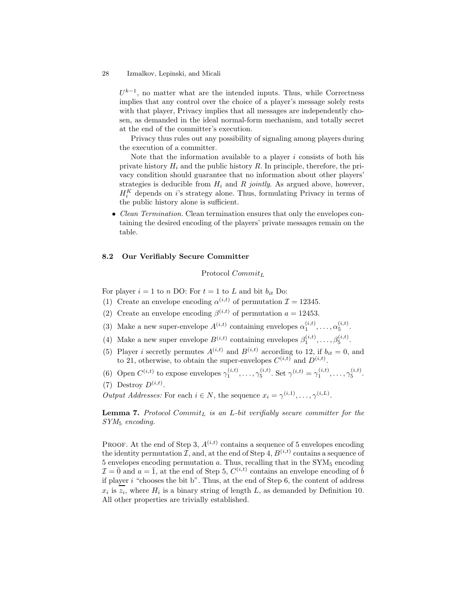$U^{k-1}$ , no matter what are the intended inputs. Thus, while Correctness implies that any control over the choice of a player's message solely rests with that player, Privacy implies that all messages are independently chosen, as demanded in the ideal normal-form mechanism, and totally secret at the end of the committer's execution.

Privacy thus rules out any possibility of signaling among players during the execution of a committer.

Note that the information available to a player  $i$  consists of both his private history  $H_i$  and the public history R. In principle, therefore, the privacy condition should guarantee that no information about other players' strategies is deducible from  $H_i$  and R jointly. As argued above, however,  $H_i^K$  depends on *i*'s strategy alone. Thus, formulating Privacy in terms of the public history alone is sufficient.

• *Clean Termination*. Clean termination ensures that only the envelopes containing the desired encoding of the players' private messages remain on the table.

### 8.2 Our Verifiably Secure Committer

### Protocol  $Commit_L$

For player  $i = 1$  to n DO: For  $t = 1$  to L and bit  $b_{it}$  Do:

- (1) Create an envelope encoding  $\alpha^{(i,t)}$  of permutation  $\mathcal{I} = 12345$ .
- (2) Create an envelope encoding  $\beta^{(i,t)}$  of permutation  $a = 12453$ .
- (3) Make a new super-envelope  $A^{(i,t)}$  containing envelopes  $\alpha_1^{(i,t)}, \ldots, \alpha_5^{(i,t)}$ .
- (4) Make a new super envelope  $B^{(i,t)}$  containing envelopes  $\beta_1^{(i,t)}, \ldots, \beta_5^{(i,t)}$ .
- (5) Player *i* secretly permutes  $A^{(i,t)}$  and  $B^{(i,t)}$  according to 12, if  $b_{it} = 0$ , and to 21, otherwise, to obtain the super-envelopes  $C^{(i,t)}$  and  $D^{(i,t)}$ .
- (6) Open  $C^{(i,t)}$  to expose envelopes  $\gamma_1^{(i,t)}, \dots, \gamma_5^{(i,t)}$ . Set  $\gamma^{(i,t)} = \gamma_1^{(i,t)}, \dots, \gamma_5^{(i,t)}$ .
- (7) Destroy  $D^{(i,t)}$ .

Output Addresses: For each  $i \in N$ , the sequence  $x_i = \gamma^{(i,1)}, \ldots, \gamma^{(i,L)}$ .

**Lemma 7.** Protocol Commit<sub>L</sub> is an L-bit verifiably secure committer for the SYM<sub>5</sub> encoding.

**PROOF.** At the end of Step 3,  $A^{(i,t)}$  contains a sequence of 5 envelopes encoding the identity permutation  $\mathcal{I}$ , and, at the end of Step 4,  $B^{(i,t)}$  contains a sequence of  $5$  envelopes encoding permutation  $a$ . Thus, recalling that in the SYM<sub>5</sub> encoding  $\mathcal{I} = \bar{0}$  and  $a = \bar{1}$ , at the end of Step 5,  $C^{(i,t)}$  contains an envelope encoding of  $\bar{b}$ if player i "chooses the bit b". Thus, at the end of Step 6, the content of address  $x_i$  is  $z_i$ , where  $H_i$  is a binary string of length L, as demanded by Definition 10. All other properties are trivially established.